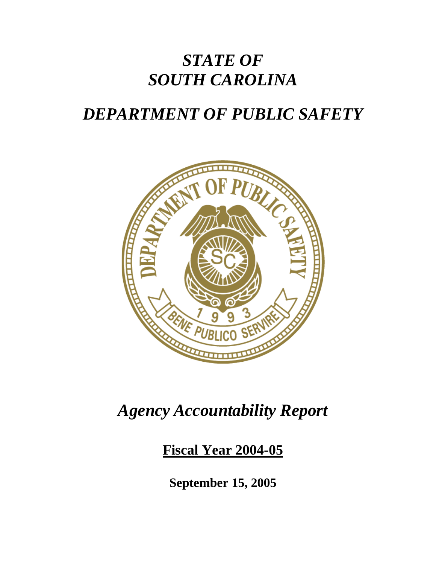# *STATE OF SOUTH CAROLINA*

# *DEPARTMENT OF PUBLIC SAFETY*



# *Agency Accountability Report*

## **Fiscal Year 2004-05**

**September 15, 2005**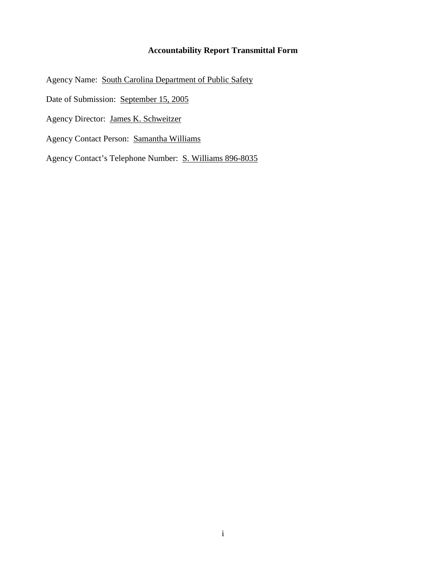#### **Accountability Report Transmittal Form**

Agency Name: South Carolina Department of Public Safety

Date of Submission: September 15, 2005

Agency Director: James K. Schweitzer

Agency Contact Person: Samantha Williams

Agency Contact's Telephone Number: S. Williams 896-8035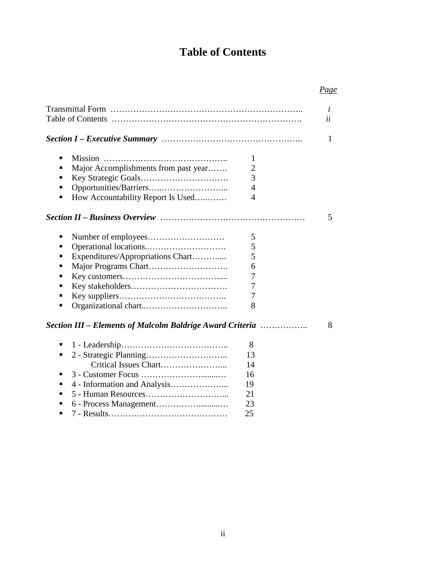## **Table of Contents**

## *Page*

|                                                                                                                                                                           | i<br>ii |
|---------------------------------------------------------------------------------------------------------------------------------------------------------------------------|---------|
|                                                                                                                                                                           | 1       |
| ٠<br>1<br>$\overline{2}$<br>Major Accomplishments from past year<br>п<br>$\overline{3}$<br>▪<br>$\overline{4}$<br>٠<br>4<br>How Accountability Report Is Used             |         |
|                                                                                                                                                                           | 5       |
| 5<br>п<br>5<br>п<br>5<br>Expenditures/Appropriations Chart<br>▪<br>6<br>п<br>7<br>■<br>7<br>▪<br>7<br>8<br>٠<br>Section III – Elements of Malcolm Baldrige Award Criteria | 8       |
| 8<br>٠<br>13<br>٠<br>14<br>16<br>п<br>4 - Information and Analysis<br>19<br>п<br>21<br>▪<br>23<br>25                                                                      |         |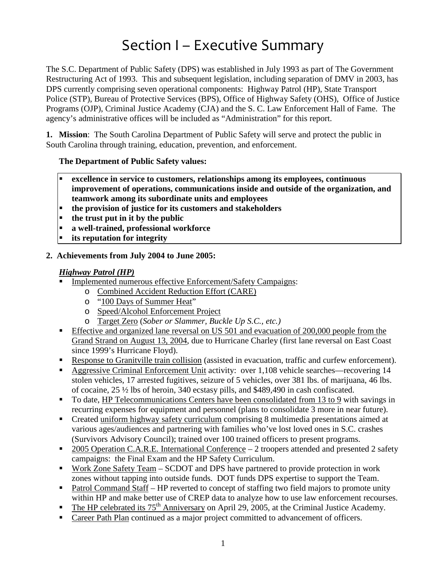# Section I – Executive Summary

The S.C. Department of Public Safety (DPS) was established in July 1993 as part of The Government Restructuring Act of 1993. This and subsequent legislation, including separation of DMV in 2003, has DPS currently comprising seven operational components: Highway Patrol (HP), State Transport Police (STP), Bureau of Protective Services (BPS), Office of Highway Safety (OHS), Office of Justice Programs (OJP), Criminal Justice Academy (CJA) and the S. C. Law Enforcement Hall of Fame. The agency's administrative offices will be included as "Administration" for this report.

**1. Mission**: The South Carolina Department of Public Safety will serve and protect the public in South Carolina through training, education, prevention, and enforcement.

#### **The Department of Public Safety values:**

- **excellence in service to customers, relationships among its employees, continuous improvement of operations, communications inside and outside of the organization, and teamwork among its subordinate units and employees**
- **the provision of justice for its customers and stakeholders**
- **the trust put in it by the public**
- **a well-trained, professional workforce**
- **its reputation for integrity**

#### **2. Achievements from July 2004 to June 2005:**

#### *Highway Patrol (HP)*

- Implemented numerous effective Enforcement/Safety Campaigns:
	- o Combined Accident Reduction Effort (CARE)
	- o "100 Days of Summer Heat"
	- o Speed/Alcohol Enforcement Project
	- o Target Zero (*Sober or Slammer, Buckle Up S.C., etc.)*
- Effective and organized lane reversal on US 501 and evacuation of 200,000 people from the Grand Strand on August 13, 2004, due to Hurricane Charley (first lane reversal on East Coast since 1999's Hurricane Floyd).
- Response to Granitville train collision (assisted in evacuation, traffic and curfew enforcement).
- Aggressive Criminal Enforcement Unit activity: over 1,108 vehicle searches—recovering 14 stolen vehicles, 17 arrested fugitives, seizure of 5 vehicles, over 381 lbs. of marijuana, 46 lbs. of cocaine, 25 ½ lbs of heroin, 340 ecstasy pills, and \$489,490 in cash confiscated.
- To date, HP Telecommunications Centers have been consolidated from 13 to 9 with savings in recurring expenses for equipment and personnel (plans to consolidate 3 more in near future).
- Created uniform highway safety curriculum comprising 8 multimedia presentations aimed at various ages/audiences and partnering with families who've lost loved ones in S.C. crashes (Survivors Advisory Council); trained over 100 trained officers to present programs.
- $\blacksquare$  2005 Operation C.A.R.E. International Conference 2 troopers attended and presented 2 safety campaigns: the Final Exam and the HP Safety Curriculum.
- Work Zone Safety Team SCDOT and DPS have partnered to provide protection in work zones without tapping into outside funds. DOT funds DPS expertise to support the Team.
- Patrol Command Staff HP reverted to concept of staffing two field majors to promote unity within HP and make better use of CREP data to analyze how to use law enforcement recourses.
- The HP celebrated its 75<sup>th</sup> Anniversary on April 29, 2005, at the Criminal Justice Academy.
- Career Path Plan continued as a major project committed to advancement of officers.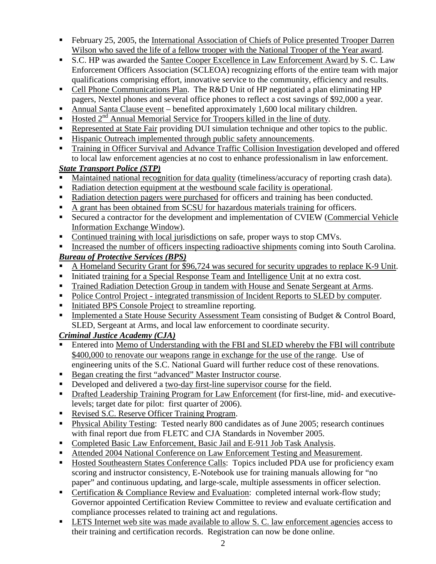- February 25, 2005, the International Association of Chiefs of Police presented Trooper Darren Wilson who saved the life of a fellow trooper with the National Trooper of the Year award.
- S.C. HP was awarded the Santee Cooper Excellence in Law Enforcement Award by S. C. Law Enforcement Officers Association (SCLEOA) recognizing efforts of the entire team with major qualifications comprising effort, innovative service to the community, efficiency and results.
- Cell Phone Communications Plan. The R&D Unit of HP negotiated a plan eliminating HP pagers, Nextel phones and several office phones to reflect a cost savings of \$92,000 a year.
- Annual Santa Clause event benefited approximately 1,600 local military children.
- $\blacksquare$  Hosted 2<sup>nd</sup> Annual Memorial Service for Troopers killed in the line of duty.
- Represented at State Fair providing DUI simulation technique and other topics to the public.
- Hispanic Outreach implemented through public safety announcements.
- **Training in Officer Survival and Advance Traffic Collision Investigation developed and offered** to local law enforcement agencies at no cost to enhance professionalism in law enforcement.

### *State Transport Police (STP)*

- Maintained national recognition for data quality (timeliness/accuracy of reporting crash data).
- Radiation detection equipment at the westbound scale facility is operational.
- Radiation detection pagers were purchased for officers and training has been conducted.
- A grant has been obtained from SCSU for hazardous materials training for officers.
- Secured a contractor for the development and implementation of CVIEW (Commercial Vehicle Information Exchange Window).
- Continued training with local jurisdictions on safe, proper ways to stop CMVs.
- Increased the number of officers inspecting radioactive shipments coming into South Carolina.

## *Bureau of Protective Services (BPS)*

- A Homeland Security Grant for \$96,724 was secured for security upgrades to replace K-9 Unit.
- Initiated training for a Special Response Team and Intelligence Unit at no extra cost.
- Trained Radiation Detection Group in tandem with House and Senate Sergeant at Arms.
- Police Control Project integrated transmission of Incident Reports to SLED by computer.
- Initiated BPS Console Project to streamline reporting.
- **Implemented a State House Security Assessment Team consisting of Budget & Control Board,** SLED, Sergeant at Arms, and local law enforcement to coordinate security.

*Criminal Justice Academy (CJA)*

- Entered into Memo of Understanding with the FBI and SLED whereby the FBI will contribute \$400,000 to renovate our weapons range in exchange for the use of the range. Use of engineering units of the S.C. National Guard will further reduce cost of these renovations.
- Began creating the first "advanced" Master Instructor course.
- Developed and delivered a two-day first-line supervisor course for the field.
- Drafted Leadership Training Program for Law Enforcement (for first-line, mid- and executivelevels; target date for pilot: first quarter of 2006).
- Revised S.C. Reserve Officer Training Program.
- Physical Ability Testing: Tested nearly 800 candidates as of June 2005; research continues with final report due from FLETC and CJA Standards in November 2005.
- Completed Basic Law Enforcement, Basic Jail and E-911 Job Task Analysis.
- Attended 2004 National Conference on Law Enforcement Testing and Measurement.
- Hosted Southeastern States Conference Calls: Topics included PDA use for proficiency exam scoring and instructor consistency, E-Notebook use for training manuals allowing for "no paper" and continuous updating, and large-scale, multiple assessments in officer selection.
- Certification & Compliance Review and Evaluation: completed internal work-flow study; Governor appointed Certification Review Committee to review and evaluate certification and compliance processes related to training act and regulations.
- **EXECUTE:** LETS Internet web site was made available to allow S. C. law enforcement agencies access to their training and certification records. Registration can now be done online.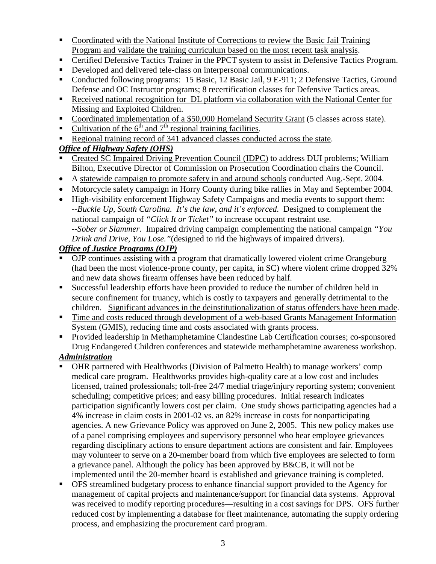- Coordinated with the National Institute of Corrections to review the Basic Jail Training Program and validate the training curriculum based on the most recent task analysis.
- **•** Certified Defensive Tactics Trainer in the PPCT system to assist in Defensive Tactics Program.
- Developed and delivered tele-class on interpersonal communications.
- Conducted following programs: 15 Basic, 12 Basic Jail, 9 E-911; 2 Defensive Tactics, Ground Defense and OC Instructor programs; 8 recertification classes for Defensive Tactics areas.
- Received national recognition for DL platform via collaboration with the National Center for Missing and Exploited Children.
- Coordinated implementation of a \$50,000 Homeland Security Grant (5 classes across state).
- Cultivation of the  $6<sup>th</sup>$  and  $7<sup>th</sup>$  regional training facilities.
- Regional training record of 341 advanced classes conducted across the state.

### *Office of Highway Safety (OHS)*

- Created SC Impaired Driving Prevention Council (IDPC) to address DUI problems; William Bilton, Executive Director of Commission on Prosecution Coordination chairs the Council.
- A statewide campaign to promote safety in and around schools conducted Aug.-Sept. 2004.
- Motorcycle safety campaign in Horry County during bike rallies in May and September 2004.
- High-visibility enforcement Highway Safety Campaigns and media events to support them: *--Buckle Up, South Carolina. It's the law, and it's enforced.* Designed to complement the national campaign of *"Click It or Ticket"* to increase occupant restraint use. *--Sober or Slammer.* Impaired driving campaign complementing the national campaign *"You Drink and Drive, You Lose."*(designed to rid the highways of impaired drivers).

### *Office of Justice Programs (OJP)*

- OJP continues assisting with a program that dramatically lowered violent crime Orangeburg (had been the most violence-prone county, per capita, in SC) where violent crime dropped 32% and new data shows firearm offenses have been reduced by half.
- Successful leadership efforts have been provided to reduce the number of children held in secure confinement for truancy, which is costly to taxpayers and generally detrimental to the children. Significant advances in the deinstitutionalization of status offenders have been made.
- Time and costs reduced through development of a web-based Grants Management Information System (GMIS), reducing time and costs associated with grants process.
- Provided leadership in Methamphetamine Clandestine Lab Certification courses; co-sponsored Drug Endangered Children conferences and statewide methamphetamine awareness workshop.

# *Administration*

- OHR partnered with Healthworks (Division of Palmetto Health) to manage workers' comp medical care program. Healthworks provides high-quality care at a low cost and includes licensed, trained professionals; toll-free 24/7 medial triage/injury reporting system; convenient scheduling; competitive prices; and easy billing procedures. Initial research indicates participation significantly lowers cost per claim. One study shows participating agencies had a 4% increase in claim costs in 2001-02 vs. an 82% increase in costs for nonparticipating agencies. A new Grievance Policy was approved on June 2, 2005. This new policy makes use of a panel comprising employees and supervisory personnel who hear employee grievances regarding disciplinary actions to ensure department actions are consistent and fair. Employees may volunteer to serve on a 20-member board from which five employees are selected to form a grievance panel. Although the policy has been approved by B&CB, it will not be implemented until the 20-member board is established and grievance training is completed.
- OFS streamlined budgetary process to enhance financial support provided to the Agency for management of capital projects and maintenance/support for financial data systems. Approval was received to modify reporting procedures—resulting in a cost savings for DPS. OFS further reduced cost by implementing a database for fleet maintenance, automating the supply ordering process, and emphasizing the procurement card program.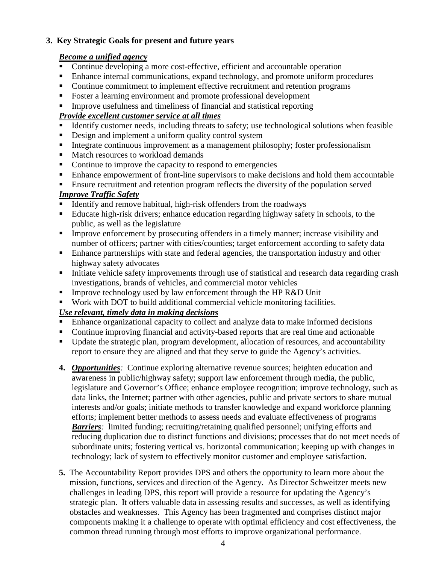#### **3. Key Strategic Goals for present and future years**

#### *Become a unified agency*

- Continue developing a more cost-effective, efficient and accountable operation
- Enhance internal communications, expand technology, and promote uniform procedures
- Continue commitment to implement effective recruitment and retention programs
- Foster a learning environment and promote professional development
- Improve usefulness and timeliness of financial and statistical reporting

### *Provide excellent customer service at all times*

- Identify customer needs, including threats to safety; use technological solutions when feasible
- Design and implement a uniform quality control system
- Integrate continuous improvement as a management philosophy; foster professionalism
- Match resources to workload demands
- Continue to improve the capacity to respond to emergencies
- Enhance empowerment of front-line supervisors to make decisions and hold them accountable
- **Ensure recruitment and retention program reflects the diversity of the population served** *Improve Traffic Safety*

## Identify and remove habitual, high-risk offenders from the roadways

- Educate high-risk drivers; enhance education regarding highway safety in schools, to the public, as well as the legislature
- Improve enforcement by prosecuting offenders in a timely manner; increase visibility and number of officers; partner with cities/counties; target enforcement according to safety data
- **Enhance partnerships with state and federal agencies, the transportation industry and other** highway safety advocates
- Initiate vehicle safety improvements through use of statistical and research data regarding crash investigations, brands of vehicles, and commercial motor vehicles
- Improve technology used by law enforcement through the HP R&D Unit
- Work with DOT to build additional commercial vehicle monitoring facilities.

#### *Use relevant, timely data in making decisions*

- Enhance organizational capacity to collect and analyze data to make informed decisions
- Continue improving financial and activity-based reports that are real time and actionable
- Update the strategic plan, program development, allocation of resources, and accountability report to ensure they are aligned and that they serve to guide the Agency's activities.
- **4.** *Opportunities:* Continue exploring alternative revenue sources; heighten education and awareness in public/highway safety; support law enforcement through media, the public, legislature and Governor's Office; enhance employee recognition; improve technology, such as data links, the Internet; partner with other agencies, public and private sectors to share mutual interests and/or goals; initiate methods to transfer knowledge and expand workforce planning efforts; implement better methods to assess needs and evaluate effectiveness of programs *Barriers*: limited funding; recruiting/retaining qualified personnel; unifying efforts and reducing duplication due to distinct functions and divisions; processes that do not meet needs of subordinate units; fostering vertical vs. horizontal communication; keeping up with changes in technology; lack of system to effectively monitor customer and employee satisfaction.
- **5.** The Accountability Report provides DPS and others the opportunity to learn more about the mission, functions, services and direction of the Agency. As Director Schweitzer meets new challenges in leading DPS, this report will provide a resource for updating the Agency's strategic plan. It offers valuable data in assessing results and successes, as well as identifying obstacles and weaknesses. This Agency has been fragmented and comprises distinct major components making it a challenge to operate with optimal efficiency and cost effectiveness, the common thread running through most efforts to improve organizational performance.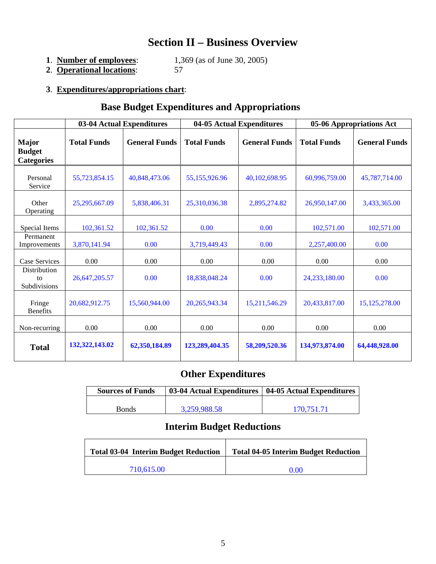## **Section II – Business Overview**

| 1. Number of employees: | 1,369 (as of June 30, 2005) |
|-------------------------|-----------------------------|
|-------------------------|-----------------------------|

**2**. **Operational locations**: 57

## **3**. **Expenditures/appropriations chart**:

## **Base Budget Expenditures and Appropriations**

|                                                    |                    | 03-04 Actual Expenditures | 04-05 Actual Expenditures |                      | 05-06 Appropriations Act |                      |
|----------------------------------------------------|--------------------|---------------------------|---------------------------|----------------------|--------------------------|----------------------|
| <b>Major</b><br><b>Budget</b><br><b>Categories</b> | <b>Total Funds</b> | <b>General Funds</b>      | <b>Total Funds</b>        | <b>General Funds</b> | <b>Total Funds</b>       | <b>General Funds</b> |
| Personal<br>Service                                | 55,723,854.15      | 40,848,473.06             | 55,155,926.96             | 40,102,698.95        | 60.996.759.00            | 45,787,714.00        |
| Other<br>Operating                                 | 25,295,667.09      | 5,838,406.31              | 25,310,036.38             | 2,895,274.82         | 26,950,147.00            | 3,433,365.00         |
| Special Items                                      | 102,361.52         | 102,361.52                | 0.00                      | 0.00                 | 102,571.00               | 102,571.00           |
| Permanent<br>Improvements                          | 3,870,141.94       | 0.00                      | 3,719,449.43              | 0.00                 | 2,257,400.00             | 0.00                 |
| <b>Case Services</b>                               | 0.00               | 0.00                      | 0.00                      | 0.00                 | 0.00                     | 0.00                 |
| Distribution<br>to<br>Subdivisions                 | 26,647,205.57      | 0.00                      | 18,838,048.24             | 0.00                 | 24,233,180.00            | 0.00                 |
| Fringe<br><b>Benefits</b>                          | 20,682,912.75      | 15,560,944.00             | 20, 265, 943. 34          | 15,211,546.29        | 20,433,817.00            | 15, 125, 278.00      |
| Non-recurring                                      | 0.00               | 0.00                      | 0.00                      | 0.00                 | 0.00                     | 0.00                 |
| <b>Total</b>                                       | 132, 322, 143. 02  | 62,350,184.89             | 123,289,404.35            | 58,209,520.36        | 134,973,874.00           | 64,448,928.00        |

## **Other Expenditures**

| <b>Sources of Funds</b> | 03-04 Actual Expenditures | 04-05 Actual Expenditures |
|-------------------------|---------------------------|---------------------------|
|                         |                           |                           |
| <b>Bonds</b>            | 3,259,988.58              | 170.751.71                |

## **Interim Budget Reductions**

| <b>Total 03-04 Interim Budget Reduction</b> | <b>Total 04-05 Interim Budget Reduction</b> |
|---------------------------------------------|---------------------------------------------|
| 710.615.00                                  | 0.00                                        |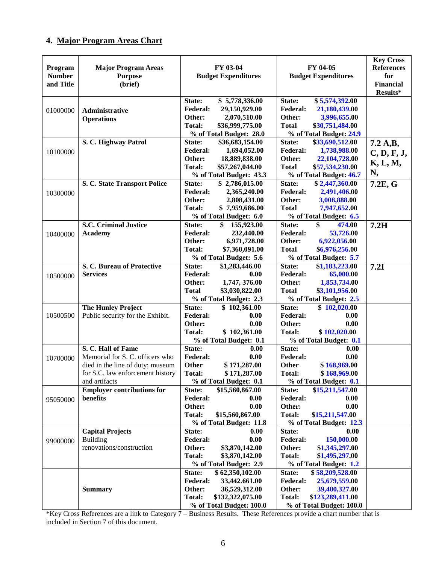### **4. Major Program Areas Chart**

| Program<br><b>Number</b><br>and Title | <b>Major Program Areas</b><br><b>Purpose</b><br>(brief)                                                                                        | FY 03-04<br><b>Budget Expenditures</b>                                                                                                                    | FY 04-05<br><b>Budget Expenditures</b>                                                                                                                    | <b>Key Cross</b><br><b>References</b><br>for<br><b>Financial</b><br>Results* |
|---------------------------------------|------------------------------------------------------------------------------------------------------------------------------------------------|-----------------------------------------------------------------------------------------------------------------------------------------------------------|-----------------------------------------------------------------------------------------------------------------------------------------------------------|------------------------------------------------------------------------------|
| 01000000                              | Administrative<br><b>Operations</b>                                                                                                            | \$5,778,336.00<br>State:<br>29,150,929.00<br><b>Federal:</b><br>Other:<br>2,070,510.00<br><b>Total:</b><br>\$36,999,775.00<br>% of Total Budget: 28.0     | \$5,574,392.00<br>State:<br><b>Federal:</b><br>21,180,439.00<br>Other:<br>3,996,655.00<br><b>Total</b><br>\$30,751,484.00<br>% of Total Budget: 24.9      |                                                                              |
| 10100000                              | S. C. Highway Patrol                                                                                                                           | State:<br>\$36,683,154.00<br><b>Federal:</b><br>1,694,052.00<br>Other:<br>18,889,838.00<br><b>Total:</b><br>\$57,267,044.00<br>% of Total Budget: 43.3    | State:<br>\$33,690,512.00<br><b>Federal:</b><br>1,738,988.00<br>Other:<br>22,104,728.00<br><b>Total</b><br>\$57,534,230.00<br>% of Total Budget: 46.7     | 7.2 A,B,<br>C, D, F, J,<br>K, L, M,<br>N,                                    |
| 10300000                              | S. C. State Transport Police                                                                                                                   | State:<br>\$2,786,015.00<br><b>Federal:</b><br>2,365,240.00<br>Other:<br>2,808,431.00<br><b>Total:</b><br>\$7,959,686.00<br>% of Total Budget: 6.0        | State:<br>\$2,447,360.00<br><b>Federal:</b><br>2,491,406.00<br>Other:<br>3,008,888.00<br><b>Total</b><br>7,947,652.00<br>% of Total Budget: 6.5           | 7.2E, G                                                                      |
| 10400000                              | <b>S.C. Criminal Justice</b><br><b>Academy</b>                                                                                                 | State:<br>\$155,923.00<br><b>Federal:</b><br>232,440.00<br>6,971,728.00<br>Other:<br><b>Total:</b><br>\$7,360,091.00<br>% of Total Budget: 5.6            | \$<br>State:<br>474.00<br><b>Federal:</b><br>53,726.00<br>6,922,056.00<br>Other:<br><b>Total</b><br>\$6,976,256.00<br>% of Total Budget: 5.7              | 7.2H                                                                         |
| 10500000                              | S. C. Bureau of Protective<br><b>Services</b>                                                                                                  | State:<br>\$1,283,446.00<br><b>Federal:</b><br>0.00<br>Other:<br>1,747, 376.00<br><b>Total</b><br>\$3,030,822.00<br>% of Total Budget: 2.3                | State:<br>\$1,183,223.00<br><b>Federal:</b><br>65,000.00<br>Other:<br>1,853,734.00<br><b>Total</b><br>\$3,101,956.00<br>% of Total Budget: 2.5            | 7.2I                                                                         |
| 10500500                              | <b>The Hunley Project</b><br>Public security for the Exhibit.                                                                                  | State:<br>\$102,361.00<br><b>Federal:</b><br>0.00<br>0.00<br>Other:<br>\$102,361.00<br><b>Total:</b><br>% of Total Budget: 0.1                            | State:<br>\$102,020.00<br><b>Federal:</b><br>0.00<br>Other:<br>0.00<br>\$102,020.00<br><b>Total:</b><br>% of Total Budget: 0.1                            |                                                                              |
| 10700000                              | S. C. Hall of Fame<br>Memorial for S. C. officers who<br>died in the line of duty; museum<br>for S.C. law enforcement history<br>and artifacts | State:<br>0.00<br>Federal:<br>0.00<br>\$171,287.00<br><b>Other</b><br><b>Total:</b><br>\$171,287.00<br>% of Total Budget: 0.1                             | State:<br>0.00<br><b>Federal:</b><br>0.00<br>\$168,969.00<br><b>Other</b><br>\$168,969.00<br><b>Total:</b><br>% of Total Budget: 0.1                      |                                                                              |
| 95050000                              | <b>Employer contributions for</b><br>benefits                                                                                                  | \$15,560,867.00<br>State:<br><b>Federal:</b><br>0.00<br>Other:<br>0.00<br><b>Total:</b><br>\$15,560,867.00<br>% of Total Budget: 11.8                     | State:<br>\$15,211,547.00<br><b>Federal:</b><br>0.00<br>Other:<br>0.00<br><b>Total:</b><br>\$15,211,547.00<br>% of Total Budget: 12.3                     |                                                                              |
| 99000000                              | <b>Capital Projects</b><br><b>Building</b><br>renovations/construction                                                                         | State:<br>0.00<br><b>Federal:</b><br>0.00<br>Other:<br>\$3,870,142.00<br><b>Total:</b><br>\$3,870,142.00<br>% of Total Budget: 2.9                        | State:<br>0.00<br><b>Federal:</b><br>150,000.00<br>Other:<br>\$1,345,297.00<br><b>Total:</b><br>\$1,495,297.00<br>% of Total Budget: 1.2                  |                                                                              |
|                                       | <b>Summary</b>                                                                                                                                 | \$62,350,102.00<br>State:<br><b>Federal:</b><br>33,442.661.00<br>Other:<br>36,529,312.00<br><b>Total:</b><br>\$132,322,075.00<br>% of Total Budget: 100.0 | State:<br>\$58,209,528.00<br><b>Federal:</b><br>25,679,559.00<br>Other:<br>39,400,327.00<br><b>Total:</b><br>\$123,289,411.00<br>% of Total Budget: 100.0 |                                                                              |

\*Key Cross References are a link to Category 7 – Business Results. These References provide a chart number that is included in Section 7 of this document.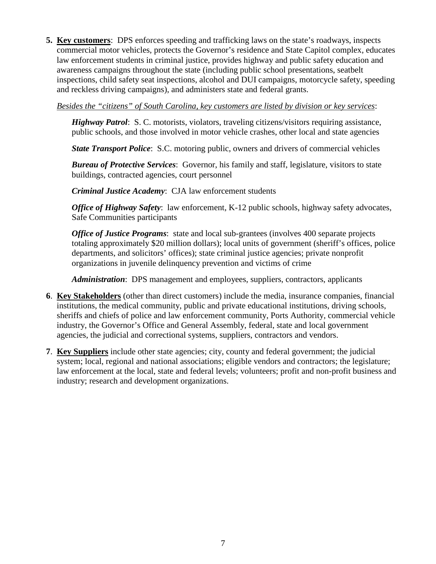**5. Key customers**: DPS enforces speeding and trafficking laws on the state's roadways, inspects commercial motor vehicles, protects the Governor's residence and State Capitol complex, educates law enforcement students in criminal justice, provides highway and public safety education and awareness campaigns throughout the state (including public school presentations, seatbelt inspections, child safety seat inspections, alcohol and DUI campaigns, motorcycle safety, speeding and reckless driving campaigns), and administers state and federal grants.

*Besides the "citizens" of South Carolina, key customers are listed by division or key services*:

*Highway Patrol*: S. C. motorists, violators, traveling citizens/visitors requiring assistance, public schools, and those involved in motor vehicle crashes, other local and state agencies

*State Transport Police:* S.C. motoring public, owners and drivers of commercial vehicles

*Bureau of Protective Services*: Governor, his family and staff, legislature, visitors to state buildings, contracted agencies, court personnel

*Criminal Justice Academy*: CJA law enforcement students

*Office of Highway Safety*: law enforcement, K-12 public schools, highway safety advocates, Safe Communities participants

*Office of Justice Programs:* state and local sub-grantees (involves 400 separate projects totaling approximately \$20 million dollars); local units of government (sheriff's offices, police departments, and solicitors' offices); state criminal justice agencies; private nonprofit organizations in juvenile delinquency prevention and victims of crime

*Administration*: DPS management and employees, suppliers, contractors, applicants

- **6**. **Key Stakeholders** (other than direct customers) include the media, insurance companies, financial institutions, the medical community, public and private educational institutions, driving schools, sheriffs and chiefs of police and law enforcement community, Ports Authority, commercial vehicle industry, the Governor's Office and General Assembly, federal, state and local government agencies, the judicial and correctional systems, suppliers, contractors and vendors.
- **7**. **Key Suppliers** include other state agencies; city, county and federal government; the judicial system; local, regional and national associations; eligible vendors and contractors; the legislature; law enforcement at the local, state and federal levels; volunteers; profit and non-profit business and industry; research and development organizations.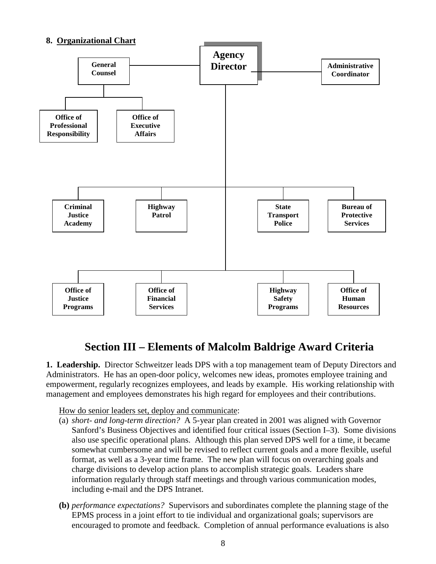#### **8. Organizational Chart**



## **Section III – Elements of Malcolm Baldrige Award Criteria**

**1. Leadership.** Director Schweitzer leads DPS with a top management team of Deputy Directors and Administrators. He has an open-door policy, welcomes new ideas, promotes employee training and empowerment, regularly recognizes employees, and leads by example. His working relationship with management and employees demonstrates his high regard for employees and their contributions.

How do senior leaders set, deploy and communicate:

- (a) *short- and long-term direction?* A 5-year plan created in 2001 was aligned with Governor Sanford's Business Objectives and identified four critical issues (Section I–3). Some divisions also use specific operational plans. Although this plan served DPS well for a time, it became somewhat cumbersome and will be revised to reflect current goals and a more flexible, useful format, as well as a 3-year time frame. The new plan will focus on overarching goals and charge divisions to develop action plans to accomplish strategic goals. Leaders share information regularly through staff meetings and through various communication modes, including e-mail and the DPS Intranet.
- **(b)** *performance expectations?* Supervisors and subordinates complete the planning stage of the EPMS process in a joint effort to tie individual and organizational goals; supervisors are encouraged to promote and feedback. Completion of annual performance evaluations is also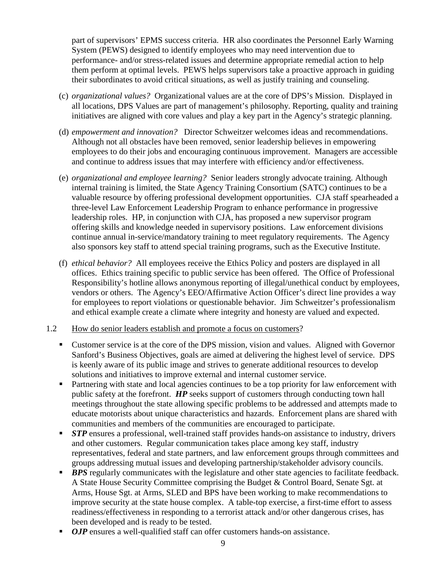part of supervisors' EPMS success criteria. HR also coordinates the Personnel Early Warning System (PEWS) designed to identify employees who may need intervention due to performance- and/or stress-related issues and determine appropriate remedial action to help them perform at optimal levels. PEWS helps supervisors take a proactive approach in guiding their subordinates to avoid critical situations, as well as justify training and counseling.

- (c) *organizational values?* Organizational values are at the core of DPS's Mission. Displayed in all locations, DPS Values are part of management's philosophy. Reporting, quality and training initiatives are aligned with core values and play a key part in the Agency's strategic planning.
- (d) *empowerment and innovation?* Director Schweitzer welcomes ideas and recommendations. Although not all obstacles have been removed, senior leadership believes in empowering employees to do their jobs and encouraging continuous improvement. Managers are accessible and continue to address issues that may interfere with efficiency and/or effectiveness.
- (e) *organizational and employee learning?* Senior leaders strongly advocate training. Although internal training is limited, the State Agency Training Consortium (SATC) continues to be a valuable resource by offering professional development opportunities. CJA staff spearheaded a three-level Law Enforcement Leadership Program to enhance performance in progressive leadership roles. HP, in conjunction with CJA, has proposed a new supervisor program offering skills and knowledge needed in supervisory positions. Law enforcement divisions continue annual in-service/mandatory training to meet regulatory requirements. The Agency also sponsors key staff to attend special training programs, such as the Executive Institute.
- (f) *ethical behavior?* All employees receive the Ethics Policy and posters are displayed in all offices. Ethics training specific to public service has been offered. The Office of Professional Responsibility's hotline allows anonymous reporting of illegal/unethical conduct by employees, vendors or others. The Agency's EEO/Affirmative Action Officer's direct line provides a way for employees to report violations or questionable behavior. Jim Schweitzer's professionalism and ethical example create a climate where integrity and honesty are valued and expected.

#### 1.2 How do senior leaders establish and promote a focus on customers?

- Customer service is at the core of the DPS mission, vision and values. Aligned with Governor Sanford's Business Objectives, goals are aimed at delivering the highest level of service. DPS is keenly aware of its public image and strives to generate additional resources to develop solutions and initiatives to improve external and internal customer service.
- **Partnering with state and local agencies continues to be a top priority for law enforcement with** public safety at the forefront. *HP* seeks support of customers through conducting town hall meetings throughout the state allowing specific problems to be addressed and attempts made to educate motorists about unique characteristics and hazards. Enforcement plans are shared with communities and members of the communities are encouraged to participate.
- **STP** ensures a professional, well-trained staff provides hands-on assistance to industry, drivers and other customers. Regular communication takes place among key staff, industry representatives, federal and state partners, and law enforcement groups through committees and groups addressing mutual issues and developing partnership/stakeholder advisory councils.
- **BPS** regularly communicates with the legislature and other state agencies to facilitate feedback. A State House Security Committee comprising the Budget & Control Board, Senate Sgt. at Arms, House Sgt. at Arms, SLED and BPS have been working to make recommendations to improve security at the state house complex. A table-top exercise, a first-time effort to assess readiness/effectiveness in responding to a terrorist attack and/or other dangerous crises, has been developed and is ready to be tested.
- *OJP* ensures a well-qualified staff can offer customers hands-on assistance.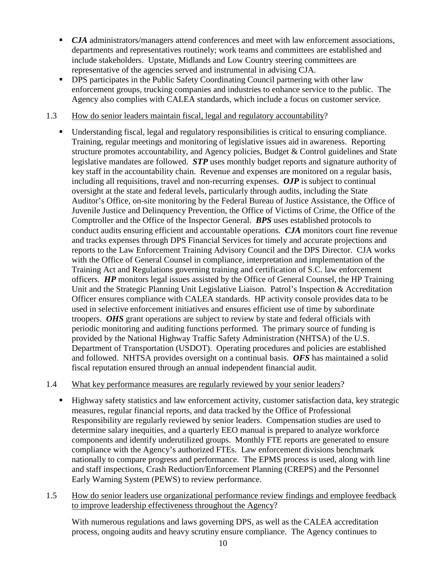- **CJA** administrators/managers attend conferences and meet with law enforcement associations, departments and representatives routinely; work teams and committees are established and include stakeholders. Upstate, Midlands and Low Country steering committees are representative of the agencies served and instrumental in advising CJA.
- DPS participates in the Public Safety Coordinating Council partnering with other law enforcement groups, trucking companies and industries to enhance service to the public. The Agency also complies with CALEA standards, which include a focus on customer service.

#### 1.3 How do senior leaders maintain fiscal, legal and regulatory accountability?

 Understanding fiscal, legal and regulatory responsibilities is critical to ensuring compliance. Training, regular meetings and monitoring of legislative issues aid in awareness. Reporting structure promotes accountability, and Agency policies, Budget & Control guidelines and State legislative mandates are followed. *STP* uses monthly budget reports and signature authority of key staff in the accountability chain. Revenue and expenses are monitored on a regular basis, including all requisitions, travel and non-recurring expenses. *OJP* is subject to continual oversight at the state and federal levels, particularly through audits, including the State Auditor's Office, on-site monitoring by the Federal Bureau of Justice Assistance, the Office of Juvenile Justice and Delinquency Prevention, the Office of Victims of Crime, the Office of the Comptroller and the Office of the Inspector General. *BPS* uses established protocols to conduct audits ensuring efficient and accountable operations*. CJA* monitors court fine revenue and tracks expenses through DPS Financial Services for timely and accurate projections and reports to the Law Enforcement Training Advisory Council and the DPS Director. CJA works with the Office of General Counsel in compliance, interpretation and implementation of the Training Act and Regulations governing training and certification of S.C. law enforcement officers. *HP* monitors legal issues assisted by the Office of General Counsel, the HP Training Unit and the Strategic Planning Unit Legislative Liaison. Patrol's Inspection & Accreditation Officer ensures compliance with CALEA standards. HP activity console provides data to be used in selective enforcement initiatives and ensures efficient use of time by subordinate troopers. *OHS* grant operations are subject to review by state and federal officials with periodic monitoring and auditing functions performed. The primary source of funding is provided by the National Highway Traffic Safety Administration (NHTSA) of the U.S. Department of Transportation (USDOT). Operating procedures and policies are established and followed. NHTSA provides oversight on a continual basis. *OFS* has maintained a solid fiscal reputation ensured through an annual independent financial audit.

#### 1.4 What key performance measures are regularly reviewed by your senior leaders?

- Highway safety statistics and law enforcement activity, customer satisfaction data, key strategic measures, regular financial reports, and data tracked by the Office of Professional Responsibility are regularly reviewed by senior leaders. Compensation studies are used to determine salary inequities, and a quarterly EEO manual is prepared to analyze workforce components and identify underutilized groups. Monthly FTE reports are generated to ensure compliance with the Agency's authorized FTEs. Law enforcement divisions benchmark nationally to compare progress and performance. The EPMS process is used, along with line and staff inspections, Crash Reduction/Enforcement Planning (CREPS) and the Personnel Early Warning System (PEWS) to review performance.
- 1.5 How do senior leaders use organizational performance review findings and employee feedback to improve leadership effectiveness throughout the Agency?

With numerous regulations and laws governing DPS, as well as the CALEA accreditation process, ongoing audits and heavy scrutiny ensure compliance. The Agency continues to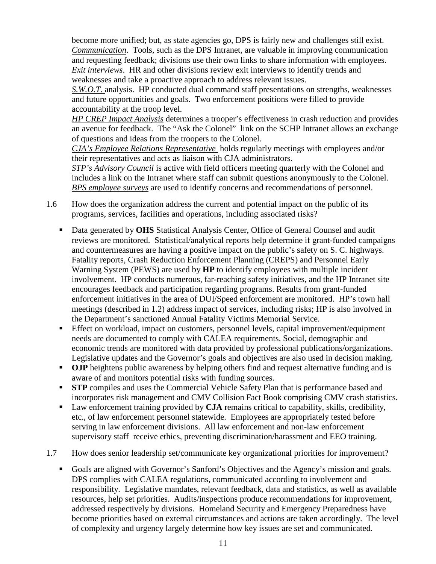become more unified; but, as state agencies go, DPS is fairly new and challenges still exist. *Communication*. Tools, such as the DPS Intranet, are valuable in improving communication and requesting feedback; divisions use their own links to share information with employees. *Exit interviews*. HR and other divisions review exit interviews to identify trends and weaknesses and take a proactive approach to address relevant issues.

*S.W.O.T.* analysis. HP conducted dual command staff presentations on strengths, weaknesses and future opportunities and goals. Two enforcement positions were filled to provide accountability at the troop level.

*HP CREP Impact Analysis* determines a trooper's effectiveness in crash reduction and provides an avenue for feedback. The "Ask the Colonel" link on the SCHP Intranet allows an exchange of questions and ideas from the troopers to the Colonel.

*CJA's Employee Relations Representative* holds regularly meetings with employees and/or their representatives and acts as liaison with CJA administrators.

*STP's Advisory Council* is active with field officers meeting quarterly with the Colonel and includes a link on the Intranet where staff can submit questions anonymously to the Colonel. *BPS employee surveys* are used to identify concerns and recommendations of personnel.

#### 1.6 How does the organization address the current and potential impact on the public of its programs, services, facilities and operations, including associated risks?

- Data generated by **OHS** Statistical Analysis Center, Office of General Counsel and audit reviews are monitored. Statistical/analytical reports help determine if grant-funded campaigns and countermeasures are having a positive impact on the public's safety on S. C. highways. Fatality reports, Crash Reduction Enforcement Planning (CREPS) and Personnel Early Warning System (PEWS) are used by **HP** to identify employees with multiple incident involvement. HP conducts numerous, far-reaching safety initiatives, and the HP Intranet site encourages feedback and participation regarding programs. Results from grant-funded enforcement initiatives in the area of DUI/Speed enforcement are monitored. HP's town hall meetings (described in 1.2) address impact of services, including risks; HP is also involved in the Department's sanctioned Annual Fatality Victims Memorial Service.
- **Effect on workload, impact on customers, personnel levels, capital improvement/equipment** needs are documented to comply with CALEA requirements. Social, demographic and economic trends are monitored with data provided by professional publications/organizations. Legislative updates and the Governor's goals and objectives are also used in decision making.
- **OJP** heightens public awareness by helping others find and request alternative funding and is aware of and monitors potential risks with funding sources.
- **STP** compiles and uses the Commercial Vehicle Safety Plan that is performance based and incorporates risk management and CMV Collision Fact Book comprising CMV crash statistics.
- Law enforcement training provided by **CJA** remains critical to capability, skills, credibility, etc., of law enforcement personnel statewide. Employees are appropriately tested before serving in law enforcement divisions. All law enforcement and non-law enforcement supervisory staff receive ethics, preventing discrimination/harassment and EEO training.

#### 1.7 How does senior leadership set/communicate key organizational priorities for improvement?

Goals are aligned with Governor's Sanford's Objectives and the Agency's mission and goals. DPS complies with CALEA regulations, communicated according to involvement and responsibility. Legislative mandates, relevant feedback, data and statistics, as well as available resources, help set priorities. Audits/inspections produce recommendations for improvement, addressed respectively by divisions. Homeland Security and Emergency Preparedness have become priorities based on external circumstances and actions are taken accordingly. The level of complexity and urgency largely determine how key issues are set and communicated.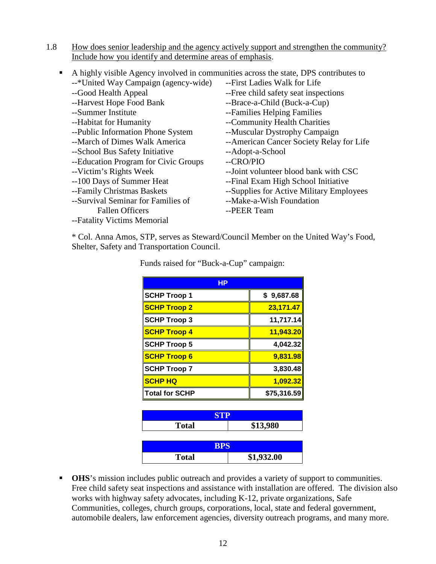1.8 How does senior leadership and the agency actively support and strengthen the community? Include how you identify and determine areas of emphasis.

| п | A highly visible Agency involved in communities across the state, DPS contributes to |                                           |
|---|--------------------------------------------------------------------------------------|-------------------------------------------|
|   | --*United Way Campaign (agency-wide)                                                 | --First Ladies Walk for Life              |
|   | --Good Health Appeal                                                                 | --Free child safety seat inspections      |
|   | --Harvest Hope Food Bank                                                             | --Brace-a-Child (Buck-a-Cup)              |
|   | --Summer Institute                                                                   | --Families Helping Families               |
|   | --Habitat for Humanity                                                               | --Community Health Charities              |
|   | --Public Information Phone System                                                    | --Muscular Dystrophy Campaign             |
|   | --March of Dimes Walk America                                                        | -- American Cancer Society Relay for Life |
|   | --School Bus Safety Initiative                                                       | --Adopt-a-School                          |
|   | --Education Program for Civic Groups                                                 | --CRO/PIO                                 |
|   | --Victim's Rights Week                                                               | --Joint volunteer blood bank with CSC     |
|   | --100 Days of Summer Heat                                                            | --Final Exam High School Initiative       |
|   | --Family Christmas Baskets                                                           | --Supplies for Active Military Employees  |
|   | --Survival Seminar for Families of                                                   | --Make-a-Wish Foundation                  |
|   | <b>Fallen Officers</b>                                                               | --PEER Team                               |
|   | --Fatality Victims Memorial                                                          |                                           |
|   |                                                                                      |                                           |

\* Col. Anna Amos, STP, serves as Steward/Council Member on the United Way's Food, Shelter, Safety and Transportation Council.

| HР                  |                  |
|---------------------|------------------|
| <b>SCHP Troop 1</b> | \$9,687.68       |
| <b>SCHP Troop 2</b> | 23,171.47        |
| <b>SCHP Troop 3</b> | 11,717.14        |
| <b>SCHP Troop 4</b> | <u>11,943.20</u> |
| <b>SCHP Troop 5</b> | 4,042.32         |
| <b>SCHP Troop 6</b> | 9,831.98         |
| <b>SCHP Troop 7</b> | 3,830.48         |
| <b>SCHP HQ</b>      | 1,092.32         |
| ∥Total for SCHP     | \$75,316.59      |
|                     |                  |
|                     |                  |

Funds raised for "Buck-a-Cup" campaign:

| <b>Total</b> | \$13,980   |  |  |
|--------------|------------|--|--|
|              |            |  |  |
| <b>BPS</b>   |            |  |  |
| <b>Total</b> | \$1,932.00 |  |  |

**OHS**'s mission includes public outreach and provides a variety of support to communities. Free child safety seat inspections and assistance with installation are offered. The division also works with highway safety advocates, including K-12, private organizations, Safe Communities, colleges, church groups, corporations, local, state and federal government, automobile dealers, law enforcement agencies, diversity outreach programs, and many more.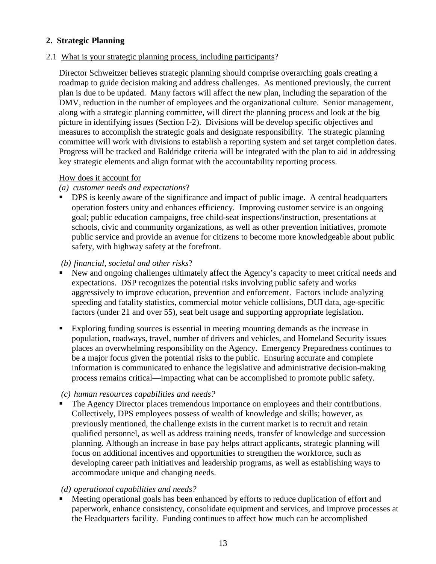#### **2. Strategic Planning**

#### 2.1 What is your strategic planning process, including participants?

Director Schweitzer believes strategic planning should comprise overarching goals creating a roadmap to guide decision making and address challenges. As mentioned previously, the current plan is due to be updated. Many factors will affect the new plan, including the separation of the DMV, reduction in the number of employees and the organizational culture. Senior management, along with a strategic planning committee, will direct the planning process and look at the big picture in identifying issues (Section I-2). Divisions will be develop specific objectives and measures to accomplish the strategic goals and designate responsibility. The strategic planning committee will work with divisions to establish a reporting system and set target completion dates. Progress will be tracked and Baldridge criteria will be integrated with the plan to aid in addressing key strategic elements and align format with the accountability reporting process.

#### How does it account for

#### *(a) customer needs and expectations*?

**•** DPS is keenly aware of the significance and impact of public image. A central headquarters operation fosters unity and enhances efficiency. Improving customer service is an ongoing goal; public education campaigns, free child-seat inspections/instruction, presentations at schools, civic and community organizations, as well as other prevention initiatives, promote public service and provide an avenue for citizens to become more knowledgeable about public safety, with highway safety at the forefront.

#### *(b) financial, societal and other risks*?

- New and ongoing challenges ultimately affect the Agency's capacity to meet critical needs and expectations. DSP recognizes the potential risks involving public safety and works aggressively to improve education, prevention and enforcement. Factors include analyzing speeding and fatality statistics, commercial motor vehicle collisions, DUI data, age-specific factors (under 21 and over 55), seat belt usage and supporting appropriate legislation.
- Exploring funding sources is essential in meeting mounting demands as the increase in population, roadways, travel, number of drivers and vehicles, and Homeland Security issues places an overwhelming responsibility on the Agency. Emergency Preparedness continues to be a major focus given the potential risks to the public. Ensuring accurate and complete information is communicated to enhance the legislative and administrative decision-making process remains critical—impacting what can be accomplished to promote public safety.

#### *(c) human resources capabilities and needs?*

 The Agency Director places tremendous importance on employees and their contributions. Collectively, DPS employees possess of wealth of knowledge and skills; however, as previously mentioned, the challenge exists in the current market is to recruit and retain qualified personnel, as well as address training needs, transfer of knowledge and succession planning. Although an increase in base pay helps attract applicants, strategic planning will focus on additional incentives and opportunities to strengthen the workforce, such as developing career path initiatives and leadership programs, as well as establishing ways to accommodate unique and changing needs.

#### *(d) operational capabilities and needs?*

**Meeting operational goals has been enhanced by efforts to reduce duplication of effort and** paperwork, enhance consistency, consolidate equipment and services, and improve processes at the Headquarters facility. Funding continues to affect how much can be accomplished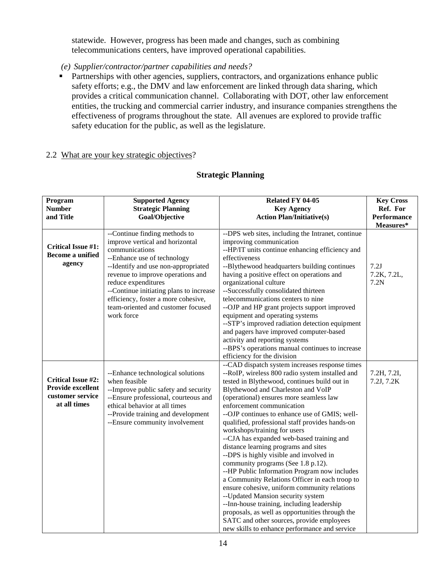statewide. However, progress has been made and changes, such as combining telecommunications centers, have improved operational capabilities.

- *(e) Supplier/contractor/partner capabilities and needs?*
- **Partnerships with other agencies, suppliers, contractors, and organizations enhance public** safety efforts; e.g., the DMV and law enforcement are linked through data sharing, which provides a critical communication channel. Collaborating with DOT, other law enforcement entities, the trucking and commercial carrier industry, and insurance companies strengthens the effectiveness of programs throughout the state. All avenues are explored to provide traffic safety education for the public, as well as the legislature.

#### 2.2 What are your key strategic objectives?

#### **Strategic Planning**

| Program<br><b>Number</b><br>and Title                                                     | <b>Supported Agency</b><br><b>Strategic Planning</b><br>Goal/Objective                                                                                                                                                                                                                                                                                                                                                                                                                                                                                                                                                                                                                                                                                                                                                                                                                                                                                                                    | Related FY 04-05<br><b>Key Agency</b><br><b>Action Plan/Initiative(s)</b>                                                                                                                                                                                                                                                                                                                                                                                                                                                                                                                                                                                                                                                                                                                                                                                                                                                                                                                       | <b>Key Cross</b><br>Ref. For<br><b>Performance</b><br>Measures* |
|-------------------------------------------------------------------------------------------|-------------------------------------------------------------------------------------------------------------------------------------------------------------------------------------------------------------------------------------------------------------------------------------------------------------------------------------------------------------------------------------------------------------------------------------------------------------------------------------------------------------------------------------------------------------------------------------------------------------------------------------------------------------------------------------------------------------------------------------------------------------------------------------------------------------------------------------------------------------------------------------------------------------------------------------------------------------------------------------------|-------------------------------------------------------------------------------------------------------------------------------------------------------------------------------------------------------------------------------------------------------------------------------------------------------------------------------------------------------------------------------------------------------------------------------------------------------------------------------------------------------------------------------------------------------------------------------------------------------------------------------------------------------------------------------------------------------------------------------------------------------------------------------------------------------------------------------------------------------------------------------------------------------------------------------------------------------------------------------------------------|-----------------------------------------------------------------|
| <b>Critical Issue #1:</b><br><b>Become a unified</b><br>agency                            | --Continue finding methods to<br>--DPS web sites, including the Intranet, continue<br>improve vertical and horizontal<br>improving communication<br>communications<br>--HP/IT units continue enhancing efficiency and<br>--Enhance use of technology<br>effectiveness<br>--Identify and use non-appropriated<br>--Blythewood headquarters building continues<br>revenue to improve operations and<br>having a positive effect on operations and<br>reduce expenditures<br>organizational culture<br>--Continue initiating plans to increase<br>--Successfully consolidated thirteen<br>efficiency, foster a more cohesive,<br>telecommunications centers to nine<br>team-oriented and customer focused<br>--OJP and HP grant projects support improved<br>work force<br>equipment and operating systems<br>--STP's improved radiation detection equipment<br>and pagers have improved computer-based<br>activity and reporting systems<br>--BPS's operations manual continues to increase |                                                                                                                                                                                                                                                                                                                                                                                                                                                                                                                                                                                                                                                                                                                                                                                                                                                                                                                                                                                                 | 7.2J<br>7.2K, 7.2L,<br>7.2N                                     |
| <b>Critical Issue #2:</b><br><b>Provide excellent</b><br>customer service<br>at all times | --Enhance technological solutions<br>when feasible<br>--Improve public safety and security<br>--Ensure professional, courteous and<br>ethical behavior at all times<br>--Provide training and development<br>--Ensure community involvement                                                                                                                                                                                                                                                                                                                                                                                                                                                                                                                                                                                                                                                                                                                                               | efficiency for the division<br>--CAD dispatch system increases response times<br>--RoIP, wireless 800 radio system installed and<br>tested in Blythewood, continues build out in<br>Blythewood and Charleston and VoIP<br>(operational) ensures more seamless law<br>enforcement communication<br>--OJP continues to enhance use of GMIS; well-<br>qualified, professional staff provides hands-on<br>workshops/training for users<br>--CJA has expanded web-based training and<br>distance learning programs and sites<br>--DPS is highly visible and involved in<br>community programs (See 1.8 p.12).<br>--HP Public Information Program now includes<br>a Community Relations Officer in each troop to<br>ensure cohesive, uniform community relations<br>-- Updated Mansion security system<br>--Inn-house training, including leadership<br>proposals, as well as opportunities through the<br>SATC and other sources, provide employees<br>new skills to enhance performance and service | 7.2H, 7.2I,<br>7.2J, 7.2K                                       |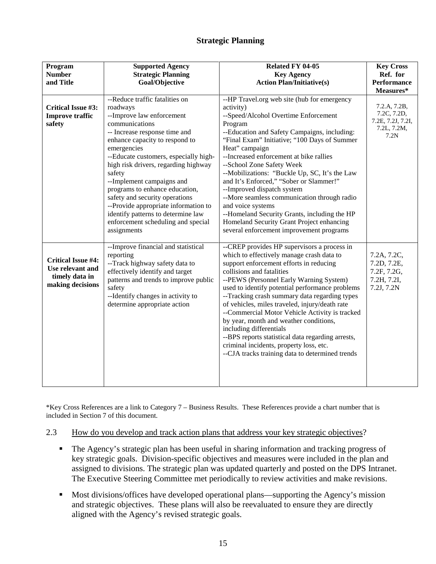#### **Strategic Planning**

| Program<br><b>Number</b><br>and Title                                               | <b>Supported Agency</b><br><b>Strategic Planning</b><br>Goal/Objective                                                                                                                                                                                                                                                                                                                                                                                                                                     | Related FY 04-05<br><b>Key Agency</b><br><b>Action Plan/Initiative(s)</b>                                                                                                                                                                                                                                                                                                                                                                                                                                                                                                                                                                    | <b>Key Cross</b><br>Ref. for<br><b>Performance</b><br>Measures*         |
|-------------------------------------------------------------------------------------|------------------------------------------------------------------------------------------------------------------------------------------------------------------------------------------------------------------------------------------------------------------------------------------------------------------------------------------------------------------------------------------------------------------------------------------------------------------------------------------------------------|----------------------------------------------------------------------------------------------------------------------------------------------------------------------------------------------------------------------------------------------------------------------------------------------------------------------------------------------------------------------------------------------------------------------------------------------------------------------------------------------------------------------------------------------------------------------------------------------------------------------------------------------|-------------------------------------------------------------------------|
| Critical Issue #3:<br><b>Improve traffic</b><br>safety                              | --Reduce traffic fatalities on<br>roadways<br>--Improve law enforcement<br>communications<br>-- Increase response time and<br>enhance capacity to respond to<br>emergencies<br>--Educate customers, especially high-<br>high risk drivers, regarding highway<br>safety<br>--Implement campaigns and<br>programs to enhance education,<br>safety and security operations<br>--Provide appropriate information to<br>identify patterns to determine law<br>enforcement scheduling and special<br>assignments | --HP Travel.org web site (hub for emergency<br>activity)<br>--Speed/Alcohol Overtime Enforcement<br>Program<br>--Education and Safety Campaigns, including:<br>"Final Exam" Initiative; "100 Days of Summer<br>Heat" campaign<br>--Increased enforcement at bike rallies<br>--School Zone Safety Week<br>--Mobilizations: "Buckle Up, SC, It's the Law<br>and It's Enforced," "Sober or Slammer!"<br>--Improved dispatch system<br>--More seamless communication through radio<br>and voice systems<br>--Homeland Security Grants, including the HP<br>Homeland Security Grant Project enhancing<br>several enforcement improvement programs | 7.2.A, 7.2B,<br>7.2C, 7.2D,<br>7.2E, 7.2J, 7.2I,<br>7.2L, 7.2M,<br>7.2N |
| <b>Critical Issue #4:</b><br>Use relevant and<br>timely data in<br>making decisions | --Improve financial and statistical<br>reporting<br>--Track highway safety data to<br>effectively identify and target<br>patterns and trends to improve public<br>safety<br>--Identify changes in activity to<br>determine appropriate action                                                                                                                                                                                                                                                              | --CREP provides HP supervisors a process in<br>which to effectively manage crash data to<br>support enforcement efforts in reducing<br>collisions and fatalities<br>--PEWS (Personnel Early Warning System)<br>used to identify potential performance problems<br>--Tracking crash summary data regarding types<br>of vehicles, miles traveled, injury/death rate<br>--Commercial Motor Vehicle Activity is tracked<br>by year, month and weather conditions,<br>including differentials<br>--BPS reports statistical data regarding arrests,<br>criminal incidents, property loss, etc.<br>--CJA tracks training data to determined trends  | 7.2A, 7.2C,<br>7.2D, 7.2E,<br>7.2F, 7.2G,<br>7.2H, 7.2I,<br>7.2J, 7.2N  |

\*Key Cross References are a link to Category 7 – Business Results. These References provide a chart number that is included in Section 7 of this document.

#### 2.3 How do you develop and track action plans that address your key strategic objectives?

- The Agency's strategic plan has been useful in sharing information and tracking progress of key strategic goals. Division-specific objectives and measures were included in the plan and assigned to divisions. The strategic plan was updated quarterly and posted on the DPS Intranet. The Executive Steering Committee met periodically to review activities and make revisions.
- **Most divisions/offices have developed operational plans—supporting the Agency's mission** and strategic objectives. These plans will also be reevaluated to ensure they are directly aligned with the Agency's revised strategic goals.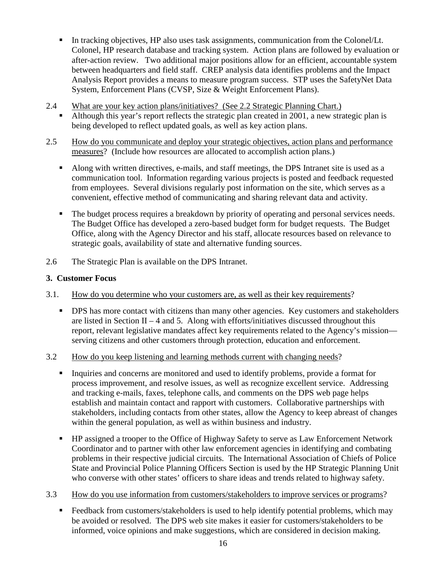- In tracking objectives, HP also uses task assignments, communication from the Colonel/Lt. Colonel, HP research database and tracking system. Action plans are followed by evaluation or after-action review. Two additional major positions allow for an efficient, accountable system between headquarters and field staff. CREP analysis data identifies problems and the Impact Analysis Report provides a means to measure program success. STP uses the SafetyNet Data System, Enforcement Plans (CVSP, Size & Weight Enforcement Plans).
- 2.4 What are your key action plans/initiatives? (See 2.2 Strategic Planning Chart.)
	- Although this year's report reflects the strategic plan created in 2001, a new strategic plan is being developed to reflect updated goals, as well as key action plans.
- 2.5 How do you communicate and deploy your strategic objectives, action plans and performance measures? (Include how resources are allocated to accomplish action plans.)
	- Along with written directives, e-mails, and staff meetings, the DPS Intranet site is used as a communication tool. Information regarding various projects is posted and feedback requested from employees. Several divisions regularly post information on the site, which serves as a convenient, effective method of communicating and sharing relevant data and activity.
	- The budget process requires a breakdown by priority of operating and personal services needs. The Budget Office has developed a zero-based budget form for budget requests. The Budget Office, along with the Agency Director and his staff, allocate resources based on relevance to strategic goals, availability of state and alternative funding sources.
- 2.6 The Strategic Plan is available on the DPS Intranet.

#### **3. Customer Focus**

- 3.1. How do you determine who your customers are, as well as their key requirements?
	- **•** DPS has more contact with citizens than many other agencies. Key customers and stakeholders are listed in Section II – 4 and 5. Along with efforts/initiatives discussed throughout this report, relevant legislative mandates affect key requirements related to the Agency's mission serving citizens and other customers through protection, education and enforcement.
- 3.2 How do you keep listening and learning methods current with changing needs?
	- Inquiries and concerns are monitored and used to identify problems, provide a format for process improvement, and resolve issues, as well as recognize excellent service. Addressing and tracking e-mails, faxes, telephone calls, and comments on the DPS web page helps establish and maintain contact and rapport with customers. Collaborative partnerships with stakeholders, including contacts from other states, allow the Agency to keep abreast of changes within the general population, as well as within business and industry.
	- **HP** assigned a trooper to the Office of Highway Safety to serve as Law Enforcement Network Coordinator and to partner with other law enforcement agencies in identifying and combating problems in their respective judicial circuits. The International Association of Chiefs of Police State and Provincial Police Planning Officers Section is used by the HP Strategic Planning Unit who converse with other states' officers to share ideas and trends related to highway safety.
- 3.3 How do you use information from customers/stakeholders to improve services or programs?
	- Feedback from customers/stakeholders is used to help identify potential problems, which may be avoided or resolved. The DPS web site makes it easier for customers/stakeholders to be informed, voice opinions and make suggestions, which are considered in decision making.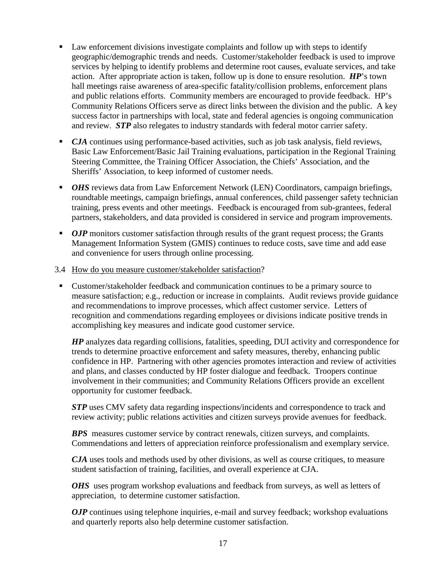- **Law enforcement divisions investigate complaints and follow up with steps to identify** geographic/demographic trends and needs. Customer/stakeholder feedback is used to improve services by helping to identify problems and determine root causes, evaluate services, and take action. After appropriate action is taken, follow up is done to ensure resolution. *HP*'s town hall meetings raise awareness of area-specific fatality/collision problems, enforcement plans and public relations efforts. Community members are encouraged to provide feedback. HP's Community Relations Officers serve as direct links between the division and the public. A key success factor in partnerships with local, state and federal agencies is ongoing communication and review. *STP* also relegates to industry standards with federal motor carrier safety.
- **CJA** continues using performance-based activities, such as job task analysis, field reviews, Basic Law Enforcement/Basic Jail Training evaluations, participation in the Regional Training Steering Committee, the Training Officer Association, the Chiefs' Association, and the Sheriffs' Association, to keep informed of customer needs.
- *OHS* reviews data from Law Enforcement Network (LEN) Coordinators, campaign briefings, roundtable meetings, campaign briefings, annual conferences, child passenger safety technician training, press events and other meetings. Feedback is encouraged from sub-grantees, federal partners, stakeholders, and data provided is considered in service and program improvements.
- *OJP* monitors customer satisfaction through results of the grant request process; the Grants Management Information System (GMIS) continues to reduce costs, save time and add ease and convenience for users through online processing.
- 3.4 How do you measure customer/stakeholder satisfaction?
- Customer/stakeholder feedback and communication continues to be a primary source to measure satisfaction; e.g., reduction or increase in complaints. Audit reviews provide guidance and recommendations to improve processes, which affect customer service. Letters of recognition and commendations regarding employees or divisions indicate positive trends in accomplishing key measures and indicate good customer service.

 *HP* analyzes data regarding collisions, fatalities, speeding, DUI activity and correspondence for trends to determine proactive enforcement and safety measures, thereby, enhancing public confidence in HP. Partnering with other agencies promotes interaction and review of activities and plans, and classes conducted by HP foster dialogue and feedback. Troopers continue involvement in their communities; and Community Relations Officers provide an excellent opportunity for customer feedback.

*STP* uses CMV safety data regarding inspections/incidents and correspondence to track and review activity; public relations activities and citizen surveys provide avenues for feedback.

*BPS* measures customer service by contract renewals, citizen surveys, and complaints. Commendations and letters of appreciation reinforce professionalism and exemplary service.

*CJA* uses tools and methods used by other divisions, as well as course critiques, to measure student satisfaction of training, facilities, and overall experience at CJA.

*OHS* uses program workshop evaluations and feedback from surveys, as well as letters of appreciation, to determine customer satisfaction.

*OJP* continues using telephone inquiries, e-mail and survey feedback; workshop evaluations and quarterly reports also help determine customer satisfaction.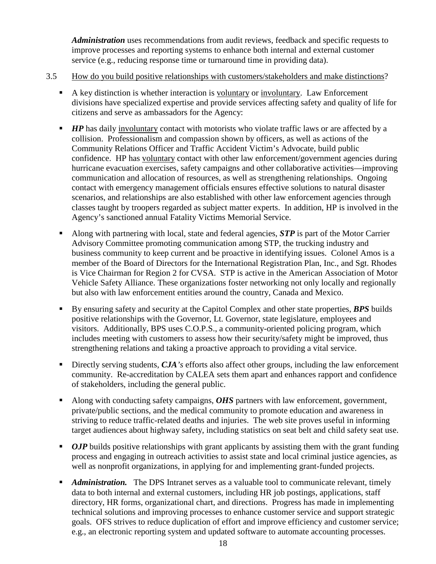*Administration* uses recommendations from audit reviews, feedback and specific requests to improve processes and reporting systems to enhance both internal and external customer service (e.g., reducing response time or turnaround time in providing data).

- 3.5 How do you build positive relationships with customers/stakeholders and make distinctions?
	- A key distinction is whether interaction is voluntary or involuntary. Law Enforcement divisions have specialized expertise and provide services affecting safety and quality of life for citizens and serve as ambassadors for the Agency:
	- *HP* has daily involuntary contact with motorists who violate traffic laws or are affected by a collision. Professionalism and compassion shown by officers, as well as actions of the Community Relations Officer and Traffic Accident Victim's Advocate, build public confidence. HP has voluntary contact with other law enforcement/government agencies during hurricane evacuation exercises, safety campaigns and other collaborative activities—improving communication and allocation of resources, as well as strengthening relationships. Ongoing contact with emergency management officials ensures effective solutions to natural disaster scenarios, and relationships are also established with other law enforcement agencies through classes taught by troopers regarded as subject matter experts. In addition, HP is involved in the Agency's sanctioned annual Fatality Victims Memorial Service.
	- Along with partnering with local, state and federal agencies, *STP* is part of the Motor Carrier Advisory Committee promoting communication among STP, the trucking industry and business community to keep current and be proactive in identifying issues. Colonel Amos is a member of the Board of Directors for the International Registration Plan, Inc., and Sgt. Rhodes is Vice Chairman for Region 2 for CVSA. STP is active in the American Association of Motor Vehicle Safety Alliance. These organizations foster networking not only locally and regionally but also with law enforcement entities around the country, Canada and Mexico.
	- By ensuring safety and security at the Capitol Complex and other state properties, *BPS* builds positive relationships with the Governor, Lt. Governor, state legislature, employees and visitors. Additionally, BPS uses C.O.P.S., a community-oriented policing program, which includes meeting with customers to assess how their security/safety might be improved, thus strengthening relations and taking a proactive approach to providing a vital service.
	- Directly serving students, *CJA*'s efforts also affect other groups, including the law enforcement community. Re-accreditation by CALEA sets them apart and enhances rapport and confidence of stakeholders, including the general public.
	- Along with conducting safety campaigns, *OHS* partners with law enforcement, government, private/public sections, and the medical community to promote education and awareness in striving to reduce traffic-related deaths and injuries. The web site proves useful in informing target audiences about highway safety, including statistics on seat belt and child safety seat use.
	- **OJP** builds positive relationships with grant applicants by assisting them with the grant funding process and engaging in outreach activities to assist state and local criminal justice agencies, as well as nonprofit organizations, in applying for and implementing grant-funded projects.
	- **Administration.** The DPS Intranet serves as a valuable tool to communicate relevant, timely data to both internal and external customers, including HR job postings, applications, staff directory, HR forms, organizational chart, and directions. Progress has made in implementing technical solutions and improving processes to enhance customer service and support strategic goals. OFS strives to reduce duplication of effort and improve efficiency and customer service; e.g., an electronic reporting system and updated software to automate accounting processes.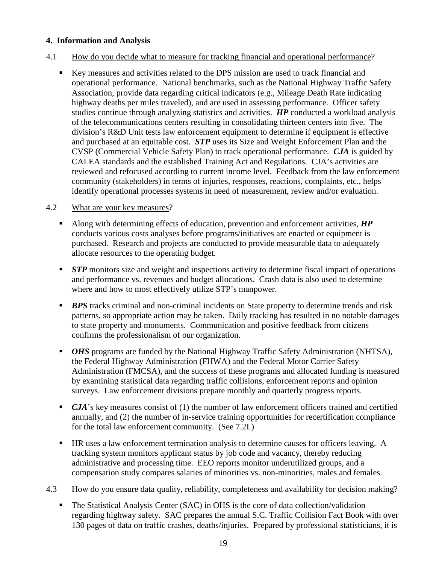#### **4. Information and Analysis**

- 4.1 How do you decide what to measure for tracking financial and operational performance?
	- Key measures and activities related to the DPS mission are used to track financial and operational performance. National benchmarks, such as the National Highway Traffic Safety Association, provide data regarding critical indicators (e.g., Mileage Death Rate indicating highway deaths per miles traveled), and are used in assessing performance. Officer safety studies continue through analyzing statistics and activities. *HP* conducted a workload analysis of the telecommunications centers resulting in consolidating thirteen centers into five. The division's R&D Unit tests law enforcement equipment to determine if equipment is effective and purchased at an equitable cost. *STP* uses its Size and Weight Enforcement Plan and the CVSP (Commercial Vehicle Safety Plan) to track operational performance. *CJA* is guided by CALEA standards and the established Training Act and Regulations. CJA's activities are reviewed and refocused according to current income level. Feedback from the law enforcement community (stakeholders) in terms of injuries, responses, reactions, complaints, etc., helps identify operational processes systems in need of measurement, review and/or evaluation.

#### 4.2 What are your key measures?

- Along with determining effects of education, prevention and enforcement activities, *HP*  conducts various costs analyses before programs/initiatives are enacted or equipment is purchased. Research and projects are conducted to provide measurable data to adequately allocate resources to the operating budget.
- **STP** monitors size and weight and inspections activity to determine fiscal impact of operations and performance vs. revenues and budget allocations. Crash data is also used to determine where and how to most effectively utilize STP's manpower.
- **BPS** tracks criminal and non-criminal incidents on State property to determine trends and risk patterns, so appropriate action may be taken. Daily tracking has resulted in no notable damages to state property and monuments. Communication and positive feedback from citizens confirms the professionalism of our organization.
- *OHS* programs are funded by the National Highway Traffic Safety Administration (NHTSA), the Federal Highway Administration (FHWA) and the Federal Motor Carrier Safety Administration (FMCSA), and the success of these programs and allocated funding is measured by examining statistical data regarding traffic collisions, enforcement reports and opinion surveys. Law enforcement divisions prepare monthly and quarterly progress reports.
- *CJA*'s key measures consist of (1) the number of law enforcement officers trained and certified annually, and (2) the number of in-service training opportunities for recertification compliance for the total law enforcement community. (See 7.2I.)
- HR uses a law enforcement termination analysis to determine causes for officers leaving. A tracking system monitors applicant status by job code and vacancy, thereby reducing administrative and processing time. EEO reports monitor underutilized groups, and a compensation study compares salaries of minorities vs. non-minorities, males and females.
- 4.3 How do you ensure data quality, reliability, completeness and availability for decision making?
	- The Statistical Analysis Center (SAC) in OHS is the core of data collection/validation regarding highway safety. SAC prepares the annual S.C. Traffic Collision Fact Book with over 130 pages of data on traffic crashes, deaths/injuries. Prepared by professional statisticians, it is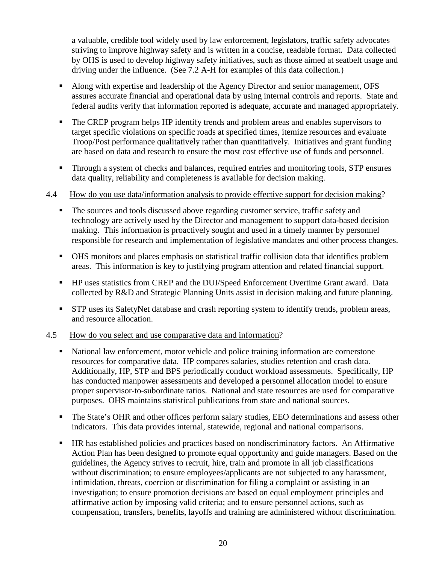a valuable, credible tool widely used by law enforcement, legislators, traffic safety advocates striving to improve highway safety and is written in a concise, readable format. Data collected by OHS is used to develop highway safety initiatives, such as those aimed at seatbelt usage and driving under the influence. (See 7.2 A-H for examples of this data collection.)

- Along with expertise and leadership of the Agency Director and senior management, OFS assures accurate financial and operational data by using internal controls and reports. State and federal audits verify that information reported is adequate, accurate and managed appropriately.
- The CREP program helps HP identify trends and problem areas and enables supervisors to target specific violations on specific roads at specified times, itemize resources and evaluate Troop/Post performance qualitatively rather than quantitatively. Initiatives and grant funding are based on data and research to ensure the most cost effective use of funds and personnel.
- **Through a system of checks and balances, required entries and monitoring tools, STP ensures** data quality, reliability and completeness is available for decision making.

#### 4.4 How do you use data/information analysis to provide effective support for decision making?

- The sources and tools discussed above regarding customer service, traffic safety and technology are actively used by the Director and management to support data-based decision making. This information is proactively sought and used in a timely manner by personnel responsible for research and implementation of legislative mandates and other process changes.
- OHS monitors and places emphasis on statistical traffic collision data that identifies problem areas. This information is key to justifying program attention and related financial support.
- **HP** uses statistics from CREP and the DUI/Speed Enforcement Overtime Grant award. Data collected by R&D and Strategic Planning Units assist in decision making and future planning.
- **STP** uses its SafetyNet database and crash reporting system to identify trends, problem areas, and resource allocation.

#### 4.5 How do you select and use comparative data and information?

- National law enforcement, motor vehicle and police training information are cornerstone resources for comparative data. HP compares salaries, studies retention and crash data. Additionally, HP, STP and BPS periodically conduct workload assessments. Specifically, HP has conducted manpower assessments and developed a personnel allocation model to ensure proper supervisor-to-subordinate ratios. National and state resources are used for comparative purposes. OHS maintains statistical publications from state and national sources.
- The State's OHR and other offices perform salary studies, EEO determinations and assess other indicators. This data provides internal, statewide, regional and national comparisons.
- HR has established policies and practices based on nondiscriminatory factors. An Affirmative Action Plan has been designed to promote equal opportunity and guide managers. Based on the guidelines, the Agency strives to recruit, hire, train and promote in all job classifications without discrimination; to ensure employees/applicants are not subjected to any harassment, intimidation, threats, coercion or discrimination for filing a complaint or assisting in an investigation; to ensure promotion decisions are based on equal employment principles and affirmative action by imposing valid criteria; and to ensure personnel actions, such as compensation, transfers, benefits, layoffs and training are administered without discrimination.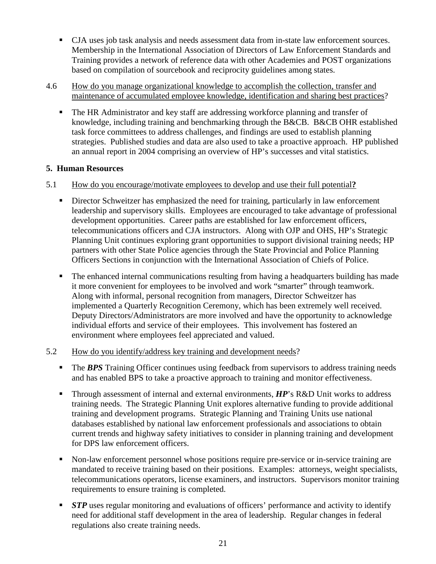- CJA uses job task analysis and needs assessment data from in-state law enforcement sources. Membership in the International Association of Directors of Law Enforcement Standards and Training provides a network of reference data with other Academies and POST organizations based on compilation of sourcebook and reciprocity guidelines among states.
- 4.6 How do you manage organizational knowledge to accomplish the collection, transfer and maintenance of accumulated employee knowledge, identification and sharing best practices?
	- The HR Administrator and key staff are addressing workforce planning and transfer of knowledge, including training and benchmarking through the B&CB. B&CB OHR established task force committees to address challenges, and findings are used to establish planning strategies. Published studies and data are also used to take a proactive approach. HP published an annual report in 2004 comprising an overview of HP's successes and vital statistics.

#### **5. Human Resources**

#### 5.1 How do you encourage/motivate employees to develop and use their full potential**?**

- Director Schweitzer has emphasized the need for training, particularly in law enforcement leadership and supervisory skills. Employees are encouraged to take advantage of professional development opportunities. Career paths are established for law enforcement officers, telecommunications officers and CJA instructors. Along with OJP and OHS, HP's Strategic Planning Unit continues exploring grant opportunities to support divisional training needs; HP partners with other State Police agencies through the State Provincial and Police Planning Officers Sections in conjunction with the International Association of Chiefs of Police.
- The enhanced internal communications resulting from having a headquarters building has made it more convenient for employees to be involved and work "smarter" through teamwork. Along with informal, personal recognition from managers, Director Schweitzer has implemented a Quarterly Recognition Ceremony, which has been extremely well received. Deputy Directors/Administrators are more involved and have the opportunity to acknowledge individual efforts and service of their employees. This involvement has fostered an environment where employees feel appreciated and valued.

#### 5.2 How do you identify/address key training and development needs?

- **The BPS** Training Officer continues using feedback from supervisors to address training needs and has enabled BPS to take a proactive approach to training and monitor effectiveness.
- Through assessment of internal and external environments, *HP*'s R&D Unit works to address training needs. The Strategic Planning Unit explores alternative funding to provide additional training and development programs. Strategic Planning and Training Units use national databases established by national law enforcement professionals and associations to obtain current trends and highway safety initiatives to consider in planning training and development for DPS law enforcement officers.
- Non-law enforcement personnel whose positions require pre-service or in-service training are mandated to receive training based on their positions. Examples: attorneys, weight specialists, telecommunications operators, license examiners, and instructors. Supervisors monitor training requirements to ensure training is completed.
- **STP** uses regular monitoring and evaluations of officers' performance and activity to identify need for additional staff development in the area of leadership. Regular changes in federal regulations also create training needs.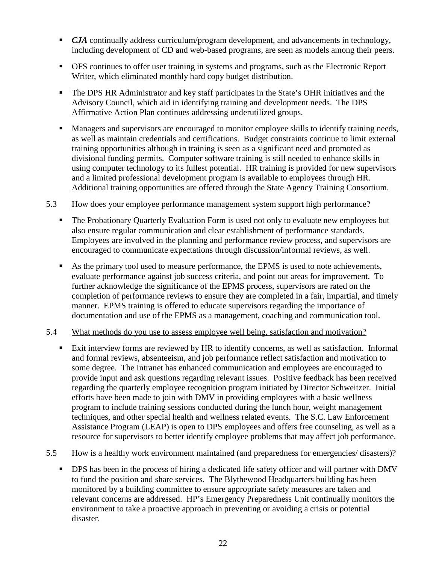- **CJA** continually address curriculum/program development, and advancements in technology, including development of CD and web-based programs, are seen as models among their peers.
- OFS continues to offer user training in systems and programs, such as the Electronic Report Writer, which eliminated monthly hard copy budget distribution.
- The DPS HR Administrator and key staff participates in the State's OHR initiatives and the Advisory Council, which aid in identifying training and development needs. The DPS Affirmative Action Plan continues addressing underutilized groups.
- **Managers and supervisors are encouraged to monitor employee skills to identify training needs,** as well as maintain credentials and certifications. Budget constraints continue to limit external training opportunities although in training is seen as a significant need and promoted as divisional funding permits. Computer software training is still needed to enhance skills in using computer technology to its fullest potential. HR training is provided for new supervisors and a limited professional development program is available to employees through HR. Additional training opportunities are offered through the State Agency Training Consortium.

#### 5.3 How does your employee performance management system support high performance?

- The Probationary Quarterly Evaluation Form is used not only to evaluate new employees but also ensure regular communication and clear establishment of performance standards. Employees are involved in the planning and performance review process, and supervisors are encouraged to communicate expectations through discussion/informal reviews, as well.
- As the primary tool used to measure performance, the EPMS is used to note achievements, evaluate performance against job success criteria, and point out areas for improvement. To further acknowledge the significance of the EPMS process, supervisors are rated on the completion of performance reviews to ensure they are completed in a fair, impartial, and timely manner. EPMS training is offered to educate supervisors regarding the importance of documentation and use of the EPMS as a management, coaching and communication tool.

#### 5.4 What methods do you use to assess employee well being, satisfaction and motivation?

 Exit interview forms are reviewed by HR to identify concerns, as well as satisfaction. Informal and formal reviews, absenteeism, and job performance reflect satisfaction and motivation to some degree. The Intranet has enhanced communication and employees are encouraged to provide input and ask questions regarding relevant issues. Positive feedback has been received regarding the quarterly employee recognition program initiated by Director Schweitzer. Initial efforts have been made to join with DMV in providing employees with a basic wellness program to include training sessions conducted during the lunch hour, weight management techniques, and other special health and wellness related events. The S.C. Law Enforcement Assistance Program (LEAP) is open to DPS employees and offers free counseling, as well as a resource for supervisors to better identify employee problems that may affect job performance.

#### 5.5 How is a healthy work environment maintained (and preparedness for emergencies/ disasters)?

**DPS** has been in the process of hiring a dedicated life safety officer and will partner with DMV to fund the position and share services. The Blythewood Headquarters building has been monitored by a building committee to ensure appropriate safety measures are taken and relevant concerns are addressed. HP's Emergency Preparedness Unit continually monitors the environment to take a proactive approach in preventing or avoiding a crisis or potential disaster.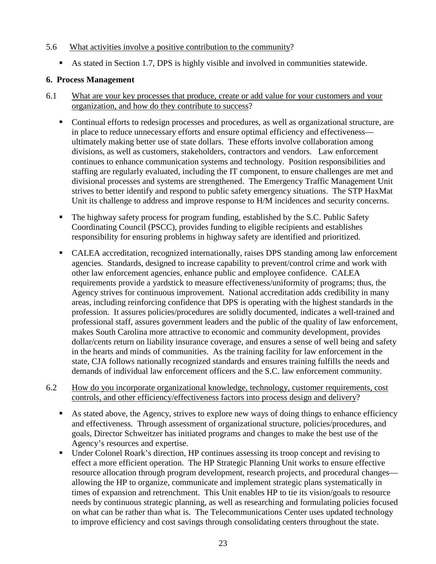#### 5.6 What activities involve a positive contribution to the community?

As stated in Section 1.7, DPS is highly visible and involved in communities statewide.

#### **6. Process Management**

- 6.1 What are your key processes that produce, create or add value for your customers and your organization, and how do they contribute to success?
	- Continual efforts to redesign processes and procedures, as well as organizational structure, are in place to reduce unnecessary efforts and ensure optimal efficiency and effectiveness ultimately making better use of state dollars. These efforts involve collaboration among divisions, as well as customers, stakeholders, contractors and vendors. Law enforcement continues to enhance communication systems and technology. Position responsibilities and staffing are regularly evaluated, including the IT component, to ensure challenges are met and divisional processes and systems are strengthened. The Emergency Traffic Management Unit strives to better identify and respond to public safety emergency situations. The STP HaxMat Unit its challenge to address and improve response to H/M incidences and security concerns.
	- The highway safety process for program funding, established by the S.C. Public Safety Coordinating Council (PSCC), provides funding to eligible recipients and establishes responsibility for ensuring problems in highway safety are identified and prioritized.
	- CALEA accreditation, recognized internationally, raises DPS standing among law enforcement agencies. Standards, designed to increase capability to prevent/control crime and work with other law enforcement agencies, enhance public and employee confidence. CALEA requirements provide a yardstick to measure effectiveness/uniformity of programs; thus, the Agency strives for continuous improvement. National accreditation adds credibility in many areas, including reinforcing confidence that DPS is operating with the highest standards in the profession. It assures policies/procedures are solidly documented, indicates a well-trained and professional staff, assures government leaders and the public of the quality of law enforcement, makes South Carolina more attractive to economic and community development, provides dollar/cents return on liability insurance coverage, and ensures a sense of well being and safety in the hearts and minds of communities. As the training facility for law enforcement in the state, CJA follows nationally recognized standards and ensures training fulfills the needs and demands of individual law enforcement officers and the S.C. law enforcement community.
- 6.2 How do you incorporate organizational knowledge, technology, customer requirements, cost controls, and other efficiency/effectiveness factors into process design and delivery?
	- As stated above, the Agency, strives to explore new ways of doing things to enhance efficiency and effectiveness. Through assessment of organizational structure, policies/procedures, and goals, Director Schweitzer has initiated programs and changes to make the best use of the Agency's resources and expertise.
	- Under Colonel Roark's direction, HP continues assessing its troop concept and revising to effect a more efficient operation. The HP Strategic Planning Unit works to ensure effective resource allocation through program development, research projects, and procedural changes allowing the HP to organize, communicate and implement strategic plans systematically in times of expansion and retrenchment. This Unit enables HP to tie its vision/goals to resource needs by continuous strategic planning, as well as researching and formulating policies focused on what can be rather than what is. The Telecommunications Center uses updated technology to improve efficiency and cost savings through consolidating centers throughout the state.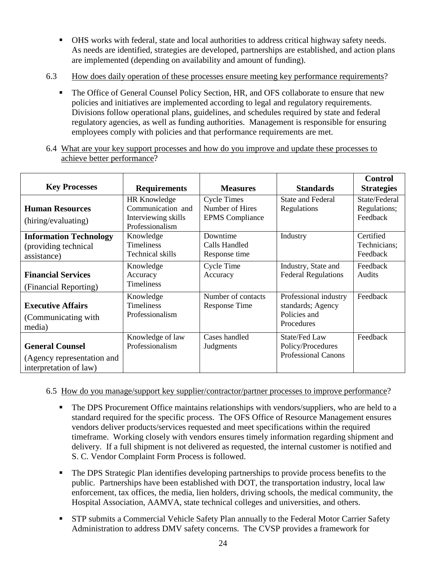- OHS works with federal, state and local authorities to address critical highway safety needs. As needs are identified, strategies are developed, partnerships are established, and action plans are implemented (depending on availability and amount of funding).
- 6.3 How does daily operation of these processes ensure meeting key performance requirements?
	- The Office of General Counsel Policy Section, HR, and OFS collaborate to ensure that new policies and initiatives are implemented according to legal and regulatory requirements. Divisions follow operational plans, guidelines, and schedules required by state and federal regulatory agencies, as well as funding authorities. Management is responsible for ensuring employees comply with policies and that performance requirements are met.
- 6.4 What are your key support processes and how do you improve and update these processes to achieve better performance?

|                               |                     |                        |                            | <b>Control</b>    |
|-------------------------------|---------------------|------------------------|----------------------------|-------------------|
| <b>Key Processes</b>          | <b>Requirements</b> | <b>Measures</b>        | <b>Standards</b>           | <b>Strategies</b> |
|                               | <b>HR Knowledge</b> | <b>Cycle Times</b>     | <b>State and Federal</b>   | State/Federal     |
| <b>Human Resources</b>        | Communication and   | Number of Hires        | Regulations                | Regulations;      |
| (hiring/evaluating)           | Interviewing skills | <b>EPMS</b> Compliance |                            | Feedback          |
|                               | Professionalism     |                        |                            |                   |
| <b>Information Technology</b> | Knowledge           | Downtime               | Industry                   | Certified         |
| (providing technical          | Timeliness          | Calls Handled          |                            | Technicians;      |
| assistance)                   | Technical skills    | Response time          |                            | Feedback          |
|                               | Knowledge           | Cycle Time             | Industry, State and        | Feedback          |
| <b>Financial Services</b>     | Accuracy            | Accuracy               | <b>Federal Regulations</b> | Audits            |
| (Financial Reporting)         | Timeliness          |                        |                            |                   |
|                               | Knowledge           | Number of contacts     | Professional industry      | Feedback          |
| <b>Executive Affairs</b>      | <b>Timeliness</b>   | <b>Response Time</b>   | standards; Agency          |                   |
| (Communicating with)          | Professionalism     |                        | Policies and               |                   |
| media)                        |                     |                        | Procedures                 |                   |
|                               | Knowledge of law    | Cases handled          | State/Fed Law              | Feedback          |
| <b>General Counsel</b>        | Professionalism     | Judgments              | Policy/Procedures          |                   |
| (Agency representation and    |                     |                        | <b>Professional Canons</b> |                   |
| interpretation of law)        |                     |                        |                            |                   |

#### 6.5 How do you manage/support key supplier/contractor/partner processes to improve performance?

- The DPS Procurement Office maintains relationships with vendors/suppliers, who are held to a standard required for the specific process. The OFS Office of Resource Management ensures vendors deliver products/services requested and meet specifications within the required timeframe. Working closely with vendors ensures timely information regarding shipment and delivery. If a full shipment is not delivered as requested, the internal customer is notified and S. C. Vendor Complaint Form Process is followed.
- The DPS Strategic Plan identifies developing partnerships to provide process benefits to the public. Partnerships have been established with DOT, the transportation industry, local law enforcement, tax offices, the media, lien holders, driving schools, the medical community, the Hospital Association, AAMVA, state technical colleges and universities, and others.
- STP submits a Commercial Vehicle Safety Plan annually to the Federal Motor Carrier Safety Administration to address DMV safety concerns. The CVSP provides a framework for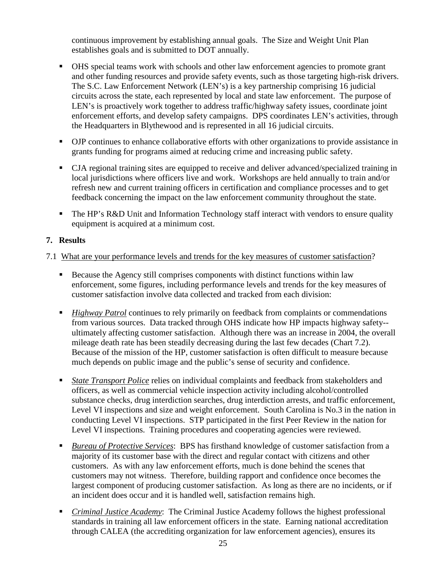continuous improvement by establishing annual goals. The Size and Weight Unit Plan establishes goals and is submitted to DOT annually.

- OHS special teams work with schools and other law enforcement agencies to promote grant and other funding resources and provide safety events, such as those targeting high-risk drivers. The S.C. Law Enforcement Network (LEN's) is a key partnership comprising 16 judicial circuits across the state, each represented by local and state law enforcement. The purpose of LEN's is proactively work together to address traffic/highway safety issues, coordinate joint enforcement efforts, and develop safety campaigns. DPS coordinates LEN's activities, through the Headquarters in Blythewood and is represented in all 16 judicial circuits.
- OJP continues to enhance collaborative efforts with other organizations to provide assistance in grants funding for programs aimed at reducing crime and increasing public safety.
- CJA regional training sites are equipped to receive and deliver advanced/specialized training in local jurisdictions where officers live and work. Workshops are held annually to train and/or refresh new and current training officers in certification and compliance processes and to get feedback concerning the impact on the law enforcement community throughout the state.
- The HP's R&D Unit and Information Technology staff interact with vendors to ensure quality equipment is acquired at a minimum cost.

#### **7. Results**

#### 7.1 What are your performance levels and trends for the key measures of customer satisfaction?

- Because the Agency still comprises components with distinct functions within law enforcement, some figures, including performance levels and trends for the key measures of customer satisfaction involve data collected and tracked from each division:
- *Highway Patrol* continues to rely primarily on feedback from complaints or commendations from various sources. Data tracked through OHS indicate how HP impacts highway safety- ultimately affecting customer satisfaction. Although there was an increase in 2004, the overall mileage death rate has been steadily decreasing during the last few decades (Chart 7.2). Because of the mission of the HP, customer satisfaction is often difficult to measure because much depends on public image and the public's sense of security and confidence.
- *State Transport Police* relies on individual complaints and feedback from stakeholders and officers, as well as commercial vehicle inspection activity including alcohol/controlled substance checks, drug interdiction searches, drug interdiction arrests, and traffic enforcement, Level VI inspections and size and weight enforcement. South Carolina is No.3 in the nation in conducting Level VI inspections. STP participated in the first Peer Review in the nation for Level VI inspections. Training procedures and cooperating agencies were reviewed.
- *Bureau of Protective Services*: BPS has firsthand knowledge of customer satisfaction from a majority of its customer base with the direct and regular contact with citizens and other customers. As with any law enforcement efforts, much is done behind the scenes that customers may not witness. Therefore, building rapport and confidence once becomes the largest component of producing customer satisfaction. As long as there are no incidents, or if an incident does occur and it is handled well, satisfaction remains high.
- *Criminal Justice Academy*: The Criminal Justice Academy follows the highest professional standards in training all law enforcement officers in the state. Earning national accreditation through CALEA (the accrediting organization for law enforcement agencies), ensures its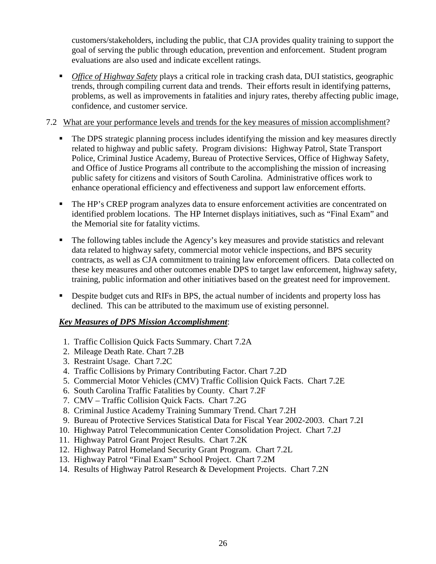customers/stakeholders, including the public, that CJA provides quality training to support the goal of serving the public through education, prevention and enforcement. Student program evaluations are also used and indicate excellent ratings.

 *Office of Highway Safety* plays a critical role in tracking crash data, DUI statistics, geographic trends, through compiling current data and trends. Their efforts result in identifying patterns, problems, as well as improvements in fatalities and injury rates, thereby affecting public image, confidence, and customer service.

#### 7.2 What are your performance levels and trends for the key measures of mission accomplishment?

- The DPS strategic planning process includes identifying the mission and key measures directly related to highway and public safety. Program divisions: Highway Patrol, State Transport Police, Criminal Justice Academy, Bureau of Protective Services, Office of Highway Safety, and Office of Justice Programs all contribute to the accomplishing the mission of increasing public safety for citizens and visitors of South Carolina. Administrative offices work to enhance operational efficiency and effectiveness and support law enforcement efforts.
- The HP's CREP program analyzes data to ensure enforcement activities are concentrated on identified problem locations. The HP Internet displays initiatives, such as "Final Exam" and the Memorial site for fatality victims.
- The following tables include the Agency's key measures and provide statistics and relevant data related to highway safety, commercial motor vehicle inspections, and BPS security contracts, as well as CJA commitment to training law enforcement officers. Data collected on these key measures and other outcomes enable DPS to target law enforcement, highway safety, training, public information and other initiatives based on the greatest need for improvement.
- Despite budget cuts and RIFs in BPS, the actual number of incidents and property loss has declined. This can be attributed to the maximum use of existing personnel.

#### *Key Measures of DPS Mission Accomplishment*:

- 1. Traffic Collision Quick Facts Summary. Chart 7.2A
- 2. Mileage Death Rate. Chart 7.2B
- 3. Restraint Usage. Chart 7.2C
- 4. Traffic Collisions by Primary Contributing Factor. Chart 7.2D
- 5. Commercial Motor Vehicles (CMV) Traffic Collision Quick Facts. Chart 7.2E
- 6. South Carolina Traffic Fatalities by County. Chart 7.2F
- 7. CMV Traffic Collision Quick Facts. Chart 7.2G
- 8. Criminal Justice Academy Training Summary Trend. Chart 7.2H
- 9. Bureau of Protective Services Statistical Data for Fiscal Year 2002-2003. Chart 7.2I
- 10. Highway Patrol Telecommunication Center Consolidation Project. Chart 7.2J
- 11. Highway Patrol Grant Project Results. Chart 7.2K
- 12. Highway Patrol Homeland Security Grant Program. Chart 7.2L
- 13. Highway Patrol "Final Exam" School Project. Chart 7.2M
- 14. Results of Highway Patrol Research & Development Projects. Chart 7.2N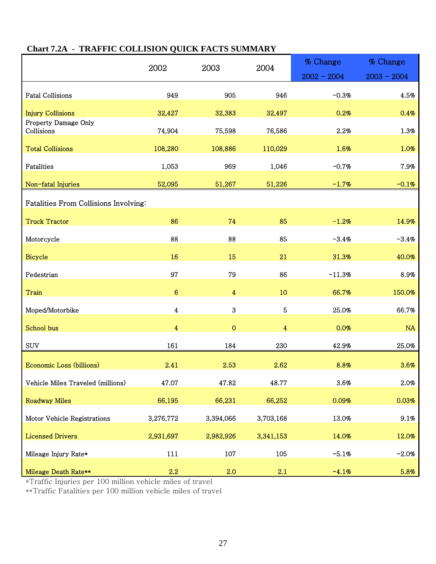|                                       | 2002                    | 2003           | 2004           | % Change      | % Change      |  |
|---------------------------------------|-------------------------|----------------|----------------|---------------|---------------|--|
|                                       |                         |                |                | $2002 - 2004$ | $2003 - 2004$ |  |
| <b>Fatal Collisions</b>               | 949                     | 905            | 946            | $-0.3%$       | 4.5%          |  |
| <b>Injury Collisions</b>              | 32,427                  | 32,383         | 32,497         | 0.2%          | 0.4%          |  |
| Property Damage Only<br>Collisions    | 74,904                  | 75,598         | 76,586         | 2.2%          | 1.3%          |  |
| <b>Total Collisions</b>               | 108,280                 | 108,886        | 110,029        | 1.6%          | 1.0%          |  |
| Fatalities                            | 1,053                   | 969            | 1,046          | $-0.7%$       | 7.9%          |  |
| Non-fatal Injuries                    | 52,095                  | 51,267         | 51,226         | $-1.7%$       | $-0.1%$       |  |
| Fatalities From Collisions Involving: |                         |                |                |               |               |  |
| <b>Truck Tractor</b>                  | 86                      | 74             | 85             | $-1.2%$       | 14.9%         |  |
| Motorcycle                            | 88                      | 88             | 85             | $-3.4%$       | $-3.4%$       |  |
| <b>Bicycle</b>                        | 16                      | 15             | 21             | 31.3%         | 40.0%         |  |
| Pedestrian                            | 97                      | 79             | 86             | $-11.3%$      | 8.9%          |  |
| Train                                 | $6\phantom{.}6$         | $\overline{4}$ | 10             | 66.7%         | 150.0%        |  |
| Moped/Motorbike                       | $\overline{\mathbf{4}}$ | $\overline{3}$ | 5              | 25.0%         | 66.7%         |  |
| School bus                            | $\overline{4}$          | $\mathbf 0$    | $\overline{4}$ | 0.0%          | <b>NA</b>     |  |
| <b>SUV</b>                            | 161                     | 184            | 230            | 42.9%         | 25.0%         |  |
| <b>Economic Loss (billions)</b>       | 2.41                    | 2.53           | 2.62           | 8.8%          | 3.6%          |  |
| Vehicle Miles Traveled (millions)     | 47.07                   | 47.82          | 48.77          | $3.6\%$       | 2.0%          |  |
| <b>Roadway Miles</b>                  | 66,195                  | 66,231         | 66,252         | 0.09%         | 0.03%         |  |
| Motor Vehicle Registrations           | 3,276,772               | 3,394,066      | 3,703,168      | 13.0%         | 9.1%          |  |
| <b>Licensed Drivers</b>               | 2,931,697               | 2,982,926      | 3,341,153      | 14.0%         | 12.0%         |  |
| Mileage Injury Rate*                  | 111                     | 107            | 105            | $-5.1%$       | $-2.0%$       |  |
| Mileage Death Rate**                  | 2.2                     | 2.0            | 2.1            | $-4.1%$       | 5.8%          |  |

## **Chart 7.2A - TRAFFIC COLLISION QUICK FACTS SUMMARY**

\*Traffic Injuries per 100 million vehicle miles of travel

\*\*Traffic Fatalities per 100 million vehicle miles of travel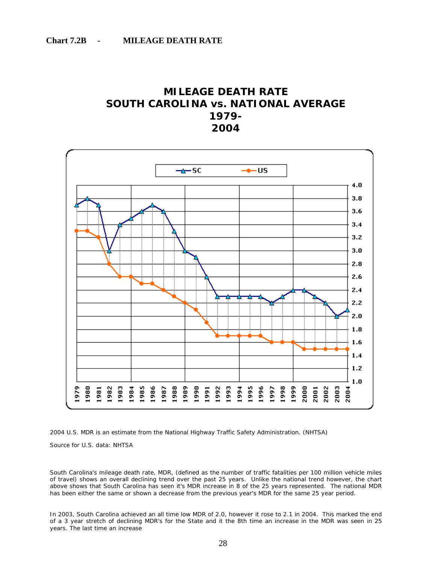## **MILEAGE DEATH RATE SOUTH CAROLINA vs. NATIONAL AVERAGE 1979- 2004**





Source for U.S. data: NHTSA

South Carolina's mileage death rate, MDR, (defined as the number of traffic fatalities per 100 million vehicle miles of travel) shows an overall declining trend over the past 25 years. Unlike the national trend however, the chart above shows that South Carolina has seen it's MDR increase in 8 of the 25 years represented. The national MDR has been either the same or shown a decrease from the previous year's MDR for the same 25 year period.

In 2003, South Carolina achieved an all time low MDR of 2.0, however it rose to 2.1 in 2004. This marked the end of a 3 year stretch of declining MDR's for the State and it the 8th time an increase in the MDR was seen in 25 years. The last time an increase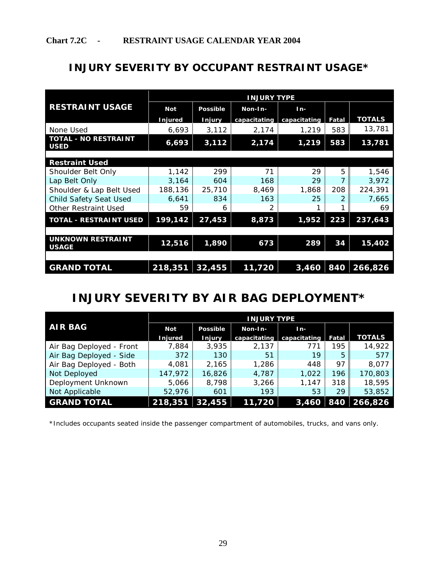## **INJURY SEVERITY BY OCCUPANT RESTRAINT USAGE\***

|                                            |            |                 | <b>INJURY TYPE</b> |              |       |               |
|--------------------------------------------|------------|-----------------|--------------------|--------------|-------|---------------|
| <b>RESTRAINT USAGE</b>                     | <b>Not</b> | <b>Possible</b> | Non-In-            | $In-$        |       |               |
|                                            | Injured    | <b>Injury</b>   | capacitating       | capacitating | Fatal | <b>TOTALS</b> |
| None Used                                  | 6,693      | 3,112           | 2,174              | 1,219        | 583   | 13,781        |
| <b>TOTAL - NO RESTRAINT</b><br><b>USED</b> | 6,693      | 3,112           | 2,174              | 1,219        | 583   | 13,781        |
|                                            |            |                 |                    |              |       |               |
| <b>Restraint Used</b>                      |            |                 |                    |              |       |               |
| Shoulder Belt Only                         | 1,142      | 299             | 71                 | 29           | 5     | 1,546         |
| Lap Belt Only                              | 3,164      | 604             | 168                | 29           | 7     | 3,972         |
| Shoulder & Lap Belt Used                   | 188,136    | 25,710          | 8,469              | 1,868        | 208   | 224,391       |
| <b>Child Safety Seat Used</b>              | 6,641      | 834             | 163                | 25           | 2     | 7,665         |
| <b>Other Restraint Used</b>                | 59         | 6               | 2                  |              |       | 69            |
| <b>TOTAL - RESTRAINT USED</b>              | 199,142    | 27,453          | 8,873              | 1,952        | 223   | 237,643       |
|                                            |            |                 |                    |              |       |               |
| <b>UNKNOWN RESTRAINT</b><br><b>USAGE</b>   | 12,516     | 1,890           | 673                | 289          | 34    | 15,402        |
|                                            |            |                 |                    |              |       |               |
| <b>GRAND TOTAL</b>                         | 218,351    | 32,455          | 11,720             | 3,460        | 840   | 266,826       |

## **INJURY SEVERITY BY AIR BAG DEPLOYMENT\***

 $\overline{a}$ 

|                          | <b>INJURY TYPE</b> |                 |              |              |       |               |  |  |  |  |
|--------------------------|--------------------|-----------------|--------------|--------------|-------|---------------|--|--|--|--|
| <b>AIR BAG</b>           | Not                | <b>Possible</b> | Non-In-      | In-          |       |               |  |  |  |  |
|                          | <b>Injured</b>     | <b>Injury</b>   | capacitating | capacitating | Fatal | <b>TOTALS</b> |  |  |  |  |
| Air Bag Deployed - Front | 7,884              | 3,935           | 2,137        | 771          | 195   | 14,922        |  |  |  |  |
| Air Bag Deployed - Side  | 372                | 130             | 51           | 19           | 5     | 577           |  |  |  |  |
| Air Bag Deployed - Both  | 4,081              | 2,165           | 1,286        | 448          | 97    | 8,077         |  |  |  |  |
| Not Deployed             | 147,972            | 16,826          | 4,787        | 1,022        | 196   | 170,803       |  |  |  |  |
| Deployment Unknown       | 5,066              | 8,798           | 3,266        | 1.147        | 318   | 18,595        |  |  |  |  |
| Not Applicable           | 52,976             | 601             | 193          | 53           | 29    | 53,852        |  |  |  |  |
| <b>GRAND TOTAL</b>       | 218,351            | 32,455          | 11,720       | 3,460        | 840   | 266,826       |  |  |  |  |

\*Includes occupants seated inside the passenger compartment of automobiles, trucks, and vans only.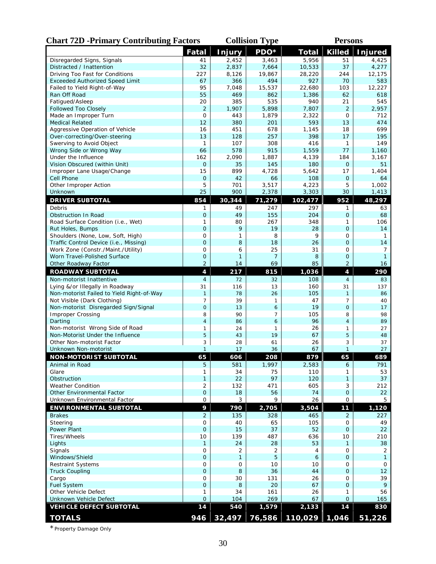| <b>Chart 72D -Primary Contributing Factors</b>                           |                                |                      | <b>Collision Type</b> | <b>Persons</b>                   |                                |                   |  |
|--------------------------------------------------------------------------|--------------------------------|----------------------|-----------------------|----------------------------------|--------------------------------|-------------------|--|
|                                                                          | <b>Fatal</b>                   | <b>Injury</b>        | PDO*                  | <b>Total</b>                     | <b>Killed</b>                  | <b>Injured</b>    |  |
| Disregarded Signs, Signals                                               | 41                             | 2,452                | 3.463                 | 5,956                            | 51                             | 4,425             |  |
| Distracted / Inattention                                                 | 32                             | 2,837                | 7,664                 | 10,533                           | 37                             | 4,277             |  |
| Driving Too Fast for Conditions                                          | 227                            | 8,126                | 19,867                | 28,220                           | 244                            | 12,175            |  |
| <b>Exceeded Authorized Speed Limit</b>                                   | 67                             | 366                  | 494                   | 927                              | 70                             | 583               |  |
| Failed to Yield Right-of-Way                                             | 95                             | 7.048                | 15,537                | 22,680                           | 103                            | 12,227            |  |
| Ran Off Road                                                             | 55                             | 469                  | 862                   | 1,386                            | 62                             | 618               |  |
| Fatigued/Asleep                                                          | 20                             | 385                  | 535                   | 940                              | 21                             | 545               |  |
| Followed Too Closely                                                     | $\overline{2}$                 | 1,907                | 5,898                 | 7,807                            | $\overline{2}$                 | 2,957             |  |
| Made an Improper Turn<br><b>Medical Related</b>                          | $\mathbf 0$<br>12              | 443<br>380           | 1,879<br>201          | 2,322<br>593                     | 0<br>13                        | 712<br>474        |  |
| Aggressive Operation of Vehicle                                          | 16                             | 451                  | 678                   | 1,145                            | 18                             | 699               |  |
| Over-correcting/Over-steering                                            | 13                             | 128                  | 257                   | 398                              | 17                             | 195               |  |
| Swerving to Avoid Object                                                 | $\mathbf{1}$                   | 107                  | 308                   | 416                              | 1                              | 149               |  |
| Wrong Side or Wrong Way                                                  | 66                             | 578                  | 915                   | 1,559                            | 77                             | 1,160             |  |
| Under the Influence                                                      | 162                            | 2,090                | 1,887                 | 4,139                            | 184                            | 3,167             |  |
| Vision Obscured (within Unit)                                            | 0                              | 35                   | 145                   | 180                              | 0                              | 51                |  |
| Improper Lane Usage/Change                                               | 15                             | 899                  | 4,728                 | 5,642                            | 17                             | 1,404             |  |
| Cell Phone                                                               | $\mathbf 0$                    | 42                   | 66                    | 108                              | $\mathbf 0$                    | 64                |  |
| Other Improper Action                                                    | 5                              | 701                  | 3,517                 | 4,223                            | 5                              | 1,002             |  |
| Unknown                                                                  | 25                             | 900                  | 2,378                 | 3,303                            | 30                             | 1,413             |  |
| <b>DRIVER SUBTOTAL</b>                                                   | 854                            | 30,344               | 71,279                | 102,477                          | 952                            | 48,297            |  |
| Debris                                                                   | 1                              | 49                   | 247                   | 297                              | 1                              | 63                |  |
| Obstruction In Road                                                      | $\mathbf 0$                    | 49                   | 155                   | 204                              | 0                              | 68                |  |
| Road Surface Condition (i.e., Wet)                                       | 1                              | 80                   | 267                   | 348                              | 1                              | 106               |  |
| Rut Holes, Bumps                                                         | $\overline{O}$                 | 9                    | 19                    | 28                               | $\overline{O}$                 | 14                |  |
| Shoulders (None, Low, Soft, High)                                        | 0                              | 1                    | 8                     | 9                                | 0                              | 1                 |  |
| Traffic Control Device (i.e., Missing)                                   | $\mathbf 0$                    | 8                    | 18                    | 26                               | $\overline{O}$                 | 14                |  |
| Work Zone (Constr./Maint./Utility)                                       | 0                              | 6                    | 25                    | 31                               | 0                              | 7                 |  |
| Worn Travel-Polished Surface                                             | $\mathbf 0$                    | $\mathbf{1}$         | 7                     | 8                                | $\mathbf 0$                    | $\mathbf{1}$      |  |
| Other Roadway Factor                                                     | $\overline{2}$                 | 14                   | 69                    | 85                               | $\overline{2}$                 | 16                |  |
| <b>ROADWAY SUBTOTAL</b>                                                  | 4                              | 217                  | 815                   | 1,036                            | 4                              | 290               |  |
| Non-motorist Inattentive                                                 | $\overline{4}$                 | 72                   | 32                    | 108                              | $\overline{4}$                 | 83                |  |
| Lying &/or Illegally in Roadway                                          | 31                             | 116                  | 13                    | 160                              | 31                             | 137               |  |
| Non-motorist Failed to Yield Right-of-Way<br>Not Visible (Dark Clothing) | $\mathbf{1}$<br>$\overline{7}$ | 78<br>39             | 26<br>1               | 105<br>47                        | $\mathbf{1}$<br>$\overline{7}$ | 86<br>40          |  |
| Non-motorist Disregarded Sign/Signal                                     | $\overline{0}$                 | 13                   | 6                     | 19                               | $\overline{O}$                 | 17                |  |
| <b>Improper Crossing</b>                                                 | 8                              | 90                   | 7                     | 105                              | 8                              | 98                |  |
| Darting                                                                  | $\overline{4}$                 | 86                   | 6                     | 96                               | $\overline{4}$                 | 89                |  |
| Non-motorist Wrong Side of Road                                          | 1                              | 24                   | 1                     | 26                               | 1                              | 27                |  |
| Non-Motorist Under the Influence                                         | 5                              | 43                   | 19                    | 67                               | 5                              | 48                |  |
| Other Non-motorist Factor                                                | 3                              | 28                   | 61                    | 26                               | 3                              | 37                |  |
| Unknown Non-motorist                                                     | $\mathbf{1}$                   | 17                   | 36                    | 67                               | $\mathbf{1}$                   | 27                |  |
| <b>NON-MOTORIST SUBTOTAL</b>                                             | 65                             | 606                  | 208                   | 879                              | 65                             | 689               |  |
| Animal in Road                                                           | 5                              | 581                  | 1,997                 | 2,583                            | 6                              | 791               |  |
| Glare                                                                    | 1                              | 34                   | 75                    | 110                              | 1                              | 53                |  |
| Obstruction                                                              | $\mathbf{1}$                   | 22                   | 97                    | 120                              | $\mathbf{1}$                   | 37                |  |
| Weather Condition                                                        | $\overline{2}$                 | 132                  | 471                   | 605                              | 3                              | 212               |  |
| Other Environmental Factor                                               | $\mathbf 0$                    | 18                   | 56                    | 74                               | $\mathbf 0$                    | 22                |  |
| Unknown Environmental Factor                                             | 0                              | 3                    | 9                     | 26                               | $\mathbf{O}$                   | 5                 |  |
| <b>ENVIRONMENTAL SUBTOTAL</b>                                            | 9                              | 790                  | 2,705                 | 3,504                            | 11                             | 1,120             |  |
| <b>Brakes</b>                                                            | $\overline{2}$                 | 135                  | 328                   | 465                              | $\overline{2}$                 | 227               |  |
| Steering                                                                 | $\mathbf{O}$                   | 40                   | 65                    | 105                              | 0                              | 49                |  |
| Power Plant                                                              | $\mathbf 0$                    | 15                   | 37                    | 52                               | $\overline{O}$                 | 22                |  |
| Tires/Wheels                                                             | 10                             | 139                  | 487                   | 636                              | 10                             | 210               |  |
| Lights<br>Signals                                                        | $\mathbf{1}$<br>0              | 24<br>$\overline{2}$ | 28<br>$\overline{2}$  | 53<br>4                          | $\mathbf{1}$<br>0              | 38                |  |
| Windows/Shield                                                           | $\mathbf 0$                    | $\mathbf{1}$         | 5                     | 6                                | $\overline{O}$                 | 2<br>$\mathbf{1}$ |  |
| <b>Restraint Systems</b>                                                 | $\mathbf{O}$                   | $\mathbf 0$          | 10                    | 10                               | 0                              | 0                 |  |
| <b>Truck Coupling</b>                                                    | $\mathbf 0$                    | 8                    | 36                    | 44                               | $\mathbf{O}$                   | 12                |  |
| Cargo                                                                    | 0                              | 30                   | 131                   | 26                               | 0                              | 39                |  |
| <b>Fuel System</b>                                                       | $\overline{O}$                 | 8                    | 20                    | 67                               | $\overline{O}$                 | 9                 |  |
| Other Vehicle Defect                                                     | 1                              | 34                   | 161                   | 26                               | 1                              | 56                |  |
| Unknown Vehicle Defect                                                   | $\overline{0}$                 | 104                  | 269                   | 67                               | $\overline{O}$                 | 165               |  |
| <b>VEHICLE DEFECT SUBTOTAL</b>                                           | 14                             | 540                  | 1,579                 | 2,133                            | 14                             | 830               |  |
| <b>TOTALS</b>                                                            | 946                            | 32,497               |                       | $\vert$ 76,586   110,029   1,046 |                                | 51,226            |  |

\*Property Damage Only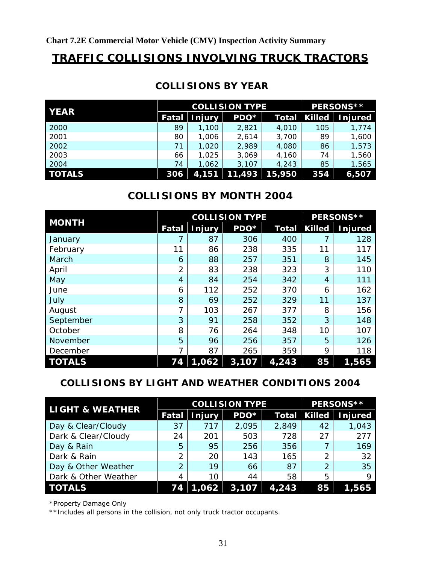## **TRAFFIC COLLISIONS INVOLVING TRUCK TRACTORS**

| <b>YEAR</b>   |       | <b>COLLISION TYPE</b> | <b>PERSONS **</b> |              |               |                |
|---------------|-------|-----------------------|-------------------|--------------|---------------|----------------|
|               | Fatal | <b>Injury</b>         | $PDO*$            | <b>Total</b> | <b>Killed</b> | <b>Injured</b> |
| 2000          | 89    | 1,100                 | 2,821             | 4,010        | 105           | 1,774          |
| 2001          | 80    | 1.006                 | 2,614             | 3,700        | 89            | 1,600          |
| 2002          | 71    | 1.020                 | 2,989             | 4,080        | 86            | 1,573          |
| 2003          | 66    | 1.025                 | 3,069             | 4,160        | 74            | 1,560          |
| 2004          | 74    | 1,062                 | 3.107             | 4,243        | 85            | 1,565          |
| <b>TOTALS</b> | 306   | 4,151                 | 11,493            | 15,950       | 354           | 6,507          |

## **COLLISIONS BY YEAR**

## **COLLISIONS BY MONTH 2004**

| <b>MONTH</b>  |                | <b>COLLISION TYPE</b> |       | PERSONS**          |               |                |
|---------------|----------------|-----------------------|-------|--------------------|---------------|----------------|
|               | Fatal          | Injury                | PDO*  | Total              | <b>Killed</b> | <b>Injured</b> |
| January       |                | 87                    | 306   | 400                |               | 128            |
| February      | 11             | 86                    | 238   | 335                | 11            | 117            |
| March         | 6              | 88                    | 257   | 351                | 8             | 145            |
| April         | $\overline{2}$ | 83                    | 238   | 323                | 3             | 110            |
| May           | $\overline{4}$ | 84                    | 254   | 342                | 4             | 111            |
| June          | 6              | 112                   | 252   | 370                | 6             | 162            |
| July          | 8              | 69                    | 252   | 329                | 11            | 137            |
| August        | $\overline{7}$ | 103                   | 267   | 377                | 8             | 156            |
| September     | 3              | 91                    | 258   | 352                | 3             | 148            |
| October       | 8              | 76                    | 264   | 348                | 10            | 107            |
| November      | 5              | 96                    | 256   | 357                | 5             | 126            |
| December      | 7              | 87                    | 265   | 359                | 9             | 118            |
| <b>TOTALS</b> | 74             | 1,062                 | 3,107 | $\overline{4,243}$ | 85            | 1,565          |

## **COLLISIONS BY LIGHT AND WEATHER CONDITIONS 2004**

| <b>LIGHT &amp; WEATHER</b> |                | <b>COLLISION TYPE</b> | PERSONS** |              |               |                |
|----------------------------|----------------|-----------------------|-----------|--------------|---------------|----------------|
|                            | <b>Fatal</b>   | <b>Injury</b>         | PDO*      | <b>Total</b> | <b>Killed</b> | <b>Injured</b> |
| Day & Clear/Cloudy         | 37             | 717                   | 2,095     | 2,849        | 42            | 1,043          |
| Dark & Clear/Cloudy        | 24             | 201                   | 503       | 728          | 27            | 277            |
| Day & Rain                 | 5              | 95                    | 256       | 356          |               | 169            |
| Dark & Rain                | $\overline{2}$ | 20                    | 143       | 165          | 2             | 32             |
| Day & Other Weather        | $\overline{2}$ | 19                    | 66        | 87           | 2             | 35             |
| Dark & Other Weather       | 4              | 10                    | 44        | 58           | 5             | Q              |
| <b>TOTALS</b>              | 74             | 1,062                 | 3,107     | 4,243        | 85            | .565           |

\*Property Damage Only

\*\*Includes all persons in the collision, not only truck tractor occupants.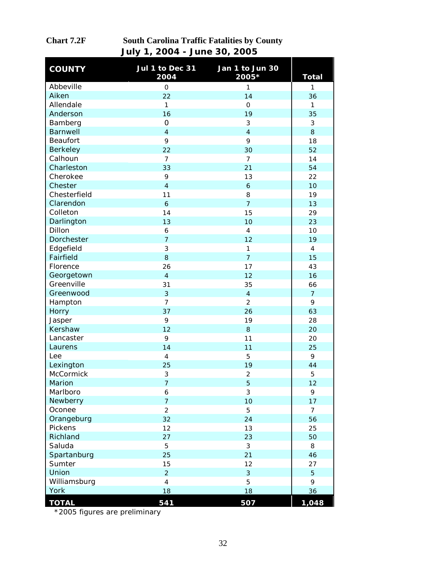| <b>COUNTY</b>   | Jul 1 to Dec 31<br>2004 | Jan 1 to Jun 30<br>2005* | <b>Total</b>   |
|-----------------|-------------------------|--------------------------|----------------|
| Abbeville       | $\mathsf{O}\xspace$     | $\mathbf{1}$             | 1              |
| Aiken           | 22                      | 14                       | 36             |
| Allendale       | $\mathbf{1}$            | $\mathsf{O}$             | 1              |
| Anderson        | 16                      | 19                       | 35             |
| Bamberg         | $\mathbf 0$             | 3                        | 3              |
| <b>Barnwell</b> | $\overline{4}$          | $\overline{4}$           | 8              |
| Beaufort        | 9                       | 9                        | 18             |
| <b>Berkeley</b> | 22                      | 30                       | 52             |
| Calhoun         | $\overline{7}$          | $\overline{7}$           | 14             |
| Charleston      | 33                      | 21                       | 54             |
| Cherokee        | 9                       | 13                       | 22             |
| Chester         | $\overline{4}$          | $\boldsymbol{6}$         | 10             |
| Chesterfield    | 11                      | 8                        | 19             |
| Clarendon       | $\mathbf{6}$            | $\overline{7}$           | 13             |
| Colleton        | 14                      | 15                       | 29             |
| Darlington      | 13                      | 10                       | 23             |
| Dillon          | 6                       | $\overline{4}$           | 10             |
| Dorchester      | $\overline{7}$          | 12                       | 19             |
| Edgefield       | 3                       | $\mathbf{1}$             | $\pmb{4}$      |
| Fairfield       | 8                       | $\overline{7}$           | 15             |
| Florence        | 26                      | 17                       | 43             |
| Georgetown      | $\overline{4}$          | 12                       | 16             |
| Greenville      | 31                      | 35                       | 66             |
| Greenwood       | 3                       | $\overline{4}$           | $\overline{7}$ |
| Hampton         | $\overline{7}$          | $\overline{2}$           | 9              |
| Horry           | 37                      | 26                       | 63             |
| Jasper          | 9                       | 19                       | 28             |
| Kershaw         | 12                      | 8                        | 20             |
| Lancaster       | 9                       | 11                       | 20             |
| Laurens         | 14                      | 11                       | 25             |
| Lee             | $\overline{4}$          | 5                        | 9              |
| Lexington       | 25                      | 19                       | 44             |
| McCormick       | 3                       | $\overline{2}$           | 5              |
| Marion          | $\overline{7}$          | 5                        | 12             |
| Marlboro        | 6                       | 3                        | 9              |
| Newberry        | $\overline{7}$          | 10                       | 17             |
| Oconee          | $\overline{2}$          | 5                        | $\overline{7}$ |
| Orangeburg      | 32                      | 24                       | 56             |
| Pickens         | 12                      | 13                       | 25             |
| Richland        | 27                      | 23                       | 50             |
| Saluda          | 5                       | 3                        | 8              |
| Spartanburg     | 25                      | 21                       | 46             |
| Sumter          | 15                      | 12                       | 27             |
| Union           | $\overline{2}$          | 3                        | 5              |
| Williamsburg    | $\overline{4}$          | 5                        | 9              |
| York            | 18                      | 18                       | 36             |
| <b>TOTAL</b>    | 541                     | 507                      | 1,048          |

## **Chart 7.2F South Carolina Traffic Fatalities by County July 1, 2004 - June 30, 2005**

\*2005 figures are preliminary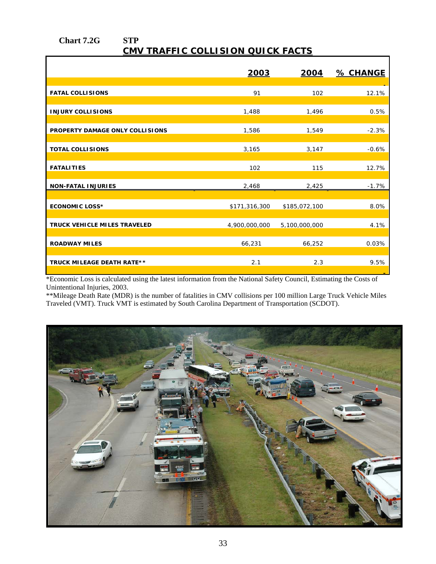#### **Chart 7.2G STP CMV TRAFFIC COLLISION QUICK FACTS**

|                                   | 2003          | 2004          | % CHANGE |
|-----------------------------------|---------------|---------------|----------|
|                                   |               |               |          |
| <b>FATAL COLLISIONS</b>           | 91            | 102           | 12.1%    |
| <b>INJURY COLLISIONS</b>          | 1,488         | 1,496         | 0.5%     |
| PROPERTY DAMAGE ONLY COLLISIONS   | 1,586         | 1,549         | $-2.3%$  |
| <b>TOTAL COLLISIONS</b>           | 3,165         | 3,147         | $-0.6%$  |
| <b>FATALITIES</b>                 | 102           | 115           | 12.7%    |
| <b>NON-FATAL INJURIES</b>         | 2,468         | 2,425         | $-1.7%$  |
|                                   |               |               |          |
| <b>ECONOMIC LOSS*</b>             | \$171,316,300 | \$185,072,100 | 8.0%     |
| TRUCK VEHICLE MILES TRAVELED      | 4,900,000,000 | 5,100,000,000 | 4.1%     |
| <b>ROADWAY MILES</b>              | 66,231        | 66,252        | 0.03%    |
| <b>TRUCK MILEAGE DEATH RATE**</b> | 2.1           | 2.3           | 9.5%     |

\*Economic Loss is calculated using the latest information from the National Safety Council, Estimating the Costs of Unintentional Injuries, 2003.

\*\*Mileage Death Rate (MDR) is the number of fatalities in CMV collisions per 100 million Large Truck Vehicle Miles Traveled (VMT). Truck VMT is estimated by South Carolina Department of Transportation (SCDOT).

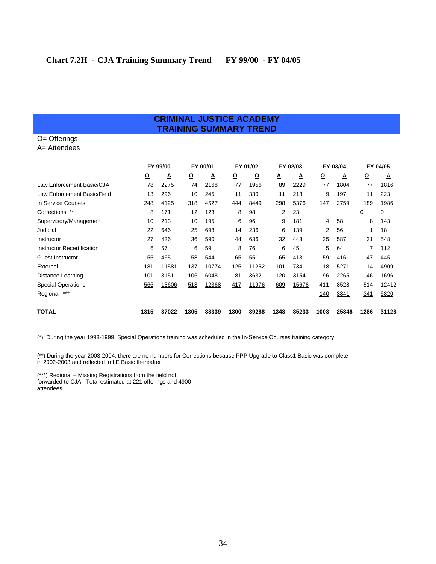#### **CRIMINAL JUSTICE ACADEMY TRAINING SUMMARY TREND**

## O= Offerings

A= Attendees

|                                   |                         | FY 99/00<br>FY 00/01 |                         |       | FY 01/02                |          | FY 02/03 |       | FY 03/04 |       | FY 04/05 |       |
|-----------------------------------|-------------------------|----------------------|-------------------------|-------|-------------------------|----------|----------|-------|----------|-------|----------|-------|
|                                   | $\overline{\mathbf{Q}}$ | A                    | $\overline{\mathbf{Q}}$ | Δ     | $\overline{\mathbf{Q}}$ | <u>0</u> | Δ        | Δ     | <u>୦</u> | ≜     | $\Omega$ | A     |
| Law Enforcement Basic/CJA         | 78                      | 2275                 | 74                      | 2168  | 77                      | 1956     | 89       | 2229  | 77       | 1804  | 77       | 1816  |
| Law Enforcement Basic/Field       | 13                      | 296                  | 10                      | 245   | 11                      | 330      | 11       | 213   | 9        | 197   | 11       | 223   |
| In Service Courses                | 248                     | 4125                 | 318                     | 4527  | 444                     | 8449     | 298      | 5376  | 147      | 2759  | 189      | 1986  |
| Corrections **                    | 8                       | 171                  | 12                      | 123   | 8                       | 98       | 2        | 23    |          |       | 0        | 0     |
| Supervisory/Management            | 10                      | 213                  | 10                      | 195   | 6                       | 96       | 9        | 181   | 4        | 58    | 8        | 143   |
| Judicial                          | 22                      | 646                  | 25                      | 698   | 14                      | 236      | 6        | 139   | 2        | 56    |          | 18    |
| Instructor                        | 27                      | 436                  | 36                      | 590   | 44                      | 636      | 32       | 443   | 35       | 587   | 31       | 548   |
| <b>Instructor Recertification</b> | 6                       | 57                   | 6                       | 59    | 8                       | 76       | 6        | 45    | 5        | 64    |          | 112   |
| Guest Instructor                  | 55                      | 465                  | 58                      | 544   | 65                      | 551      | 65       | 413   | 59       | 416   | 47       | 445   |
| External                          | 181                     | 11581                | 137                     | 10774 | 125                     | 11252    | 101      | 7341  | 18       | 5271  | 14       | 4909  |
| Distance Learning                 | 101                     | 3151                 | 106                     | 6048  | 81                      | 3632     | 120      | 3154  | 96       | 2265  | 46       | 1696  |
| <b>Special Operations</b>         | 566                     | 13606                | 513                     | 12368 | 417                     | 11976    | 609      | 15676 | 411      | 8528  | 514      | 12412 |
| $***$<br>Regional                 |                         |                      |                         |       |                         |          |          |       | 140      | 3841  | 341      | 6820  |
| <b>TOTAL</b>                      | 1315                    | 37022                | 1305                    | 38339 | 1300                    | 39288    | 1348     | 35233 | 1003     | 25846 | 1286     | 31128 |

(\*) During the year 1998-1999, Special Operations training was scheduled in the In-Service Courses training category

(\*\*) During the year 2003-2004, there are no numbers for Corrections because PPP Upgrade to Class1 Basic was complete in 2002-2003 and reflected in LE Basic thereafter

(\*\*\*) Regional – Missing Registrations from the field not forwarded to CJA. Total estimated at 221 offerings and 4900 attendees.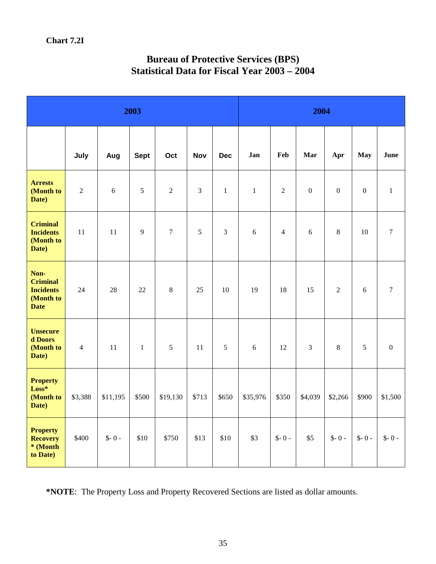| 2003                                                                    |                |          |              |            |            |                | 2004         |                |                |                |              |                  |
|-------------------------------------------------------------------------|----------------|----------|--------------|------------|------------|----------------|--------------|----------------|----------------|----------------|--------------|------------------|
|                                                                         | July           | Aug      | <b>Sept</b>  | Oct        | <b>Nov</b> | <b>Dec</b>     | Jan          | Feb            | Mar            | Apr            | May          | June             |
| <b>Arrests</b><br>(Month to<br>Date)                                    | $\overline{2}$ | 6        | 5            | $\sqrt{2}$ | 3          | $\mathbf{1}$   | $\mathbf{1}$ | $\sqrt{2}$     | $\overline{0}$ | $\overline{0}$ | $\mathbf{0}$ | $\,1\,$          |
| <b>Criminal</b><br><b>Incidents</b><br>(Month to<br>Date)               | 11             | 11       | 9            | $\tau$     | 5          | $\overline{3}$ | 6            | $\overline{4}$ | 6              | $8\,$          | 10           | $\boldsymbol{7}$ |
| Non-<br><b>Criminal</b><br><b>Incidents</b><br>(Month to<br><b>Date</b> | 24             | 28       | 22           | $\,8\,$    | 25         | 10             | 19           | 18             | 15             | $\overline{c}$ | $6\,$        | $\boldsymbol{7}$ |
| <b>Unsecure</b><br>d Doors<br>(Month to<br>Date)                        | $\overline{4}$ | 11       | $\mathbf{1}$ | 5          | 11         | 5              | 6            | 12             | $\overline{3}$ | 8              | 5            | $\mathbf{0}$     |
| <b>Property</b><br>$Loss*$<br>(Month to<br>Date)                        | \$3,388        | \$11,195 | \$500        | \$19,130   | \$713      | \$650          | \$35,976     | \$350          | \$4,039        | \$2,266        | \$900        | \$1,500          |
| <b>Property</b><br><b>Recovery</b><br>* (Month<br>to Date)              | \$400          | $$-0-$   | \$10         | \$750      | \$13       | \$10           | \$3          | $$-0-$         | \$5            | $$-0-$         | $$-0-$       | $$-0-$           |

## **Bureau of Protective Services (BPS) Statistical Data for Fiscal Year 2003 – 2004**

**\*NOTE**: The Property Loss and Property Recovered Sections are listed as dollar amounts.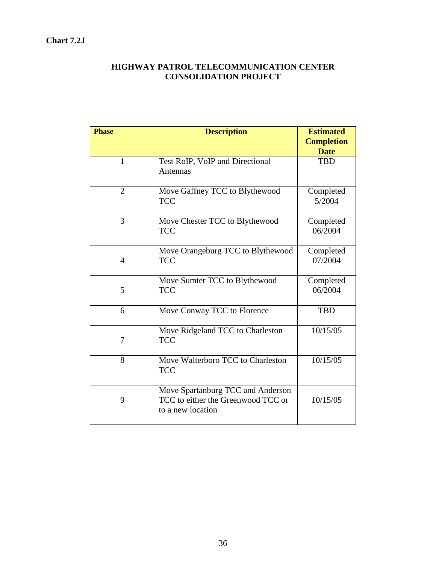#### **Chart 7.2J**

### **HIGHWAY PATROL TELECOMMUNICATION CENTER CONSOLIDATION PROJECT**

| <b>Phase</b>   | <b>Description</b>                                                                           | <b>Estimated</b><br><b>Completion</b><br><b>Date</b> |
|----------------|----------------------------------------------------------------------------------------------|------------------------------------------------------|
| $\mathbf{1}$   | Test RoIP, VoIP and Directional<br>Antennas                                                  | <b>TBD</b>                                           |
| $\overline{2}$ | Move Gaffney TCC to Blythewood<br><b>TCC</b>                                                 | Completed<br>5/2004                                  |
| 3              | Move Chester TCC to Blythewood<br><b>TCC</b>                                                 | Completed<br>06/2004                                 |
| $\overline{4}$ | Move Orangeburg TCC to Blythewood<br><b>TCC</b>                                              | Completed<br>07/2004                                 |
| 5              | Move Sumter TCC to Blythewood<br><b>TCC</b>                                                  | Completed<br>06/2004                                 |
| 6              | Move Conway TCC to Florence                                                                  | <b>TBD</b>                                           |
| 7              | Move Ridgeland TCC to Charleston<br><b>TCC</b>                                               | 10/15/05                                             |
| 8              | Move Walterboro TCC to Charleston<br><b>TCC</b>                                              | 10/15/05                                             |
| 9              | Move Spartanburg TCC and Anderson<br>TCC to either the Greenwood TCC or<br>to a new location | 10/15/05                                             |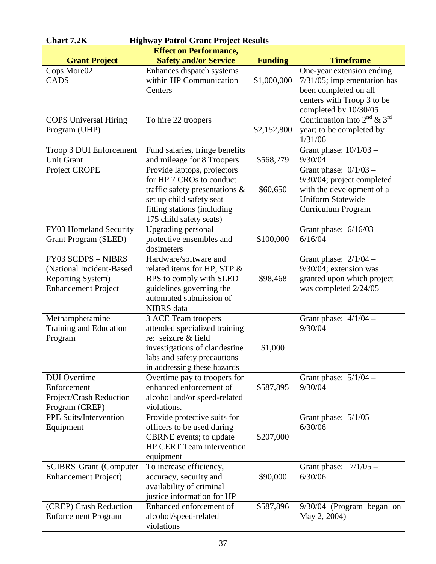| <b>Chart 7.2K</b><br><b>Highway Patrol Grant Project Results</b>                                                |                                                                                                                                                                                    |                |                                                                                                                                             |  |
|-----------------------------------------------------------------------------------------------------------------|------------------------------------------------------------------------------------------------------------------------------------------------------------------------------------|----------------|---------------------------------------------------------------------------------------------------------------------------------------------|--|
|                                                                                                                 | <b>Effect on Performance,</b>                                                                                                                                                      |                |                                                                                                                                             |  |
| <b>Grant Project</b>                                                                                            | <b>Safety and/or Service</b>                                                                                                                                                       | <b>Funding</b> | <b>Timeframe</b>                                                                                                                            |  |
| Cops More02<br><b>CADS</b>                                                                                      | Enhances dispatch systems<br>within HP Communication<br>Centers                                                                                                                    | \$1,000,000    | One-year extension ending<br>$7/31/05$ ; implementation has<br>been completed on all<br>centers with Troop 3 to be<br>completed by 10/30/05 |  |
| <b>COPS</b> Universal Hiring<br>Program (UHP)                                                                   | To hire 22 troopers                                                                                                                                                                | \$2,152,800    | Continuation into $2^{nd}$ & $3^{rd}$<br>year; to be completed by<br>1/31/06                                                                |  |
| Troop 3 DUI Enforcement<br><b>Unit Grant</b>                                                                    | Fund salaries, fringe benefits<br>and mileage for 8 Troopers                                                                                                                       | \$568,279      | Grant phase: $10/1/03$ -<br>9/30/04                                                                                                         |  |
| Project CROPE                                                                                                   | Provide laptops, projectors<br>for HP 7 CROs to conduct<br>traffic safety presentations $\&$<br>set up child safety seat<br>fitting stations (including<br>175 child safety seats) | \$60,650       | Grant phase: $0/1/03$ –<br>9/30/04; project completed<br>with the development of a<br><b>Uniform Statewide</b><br>Curriculum Program        |  |
| FY03 Homeland Security<br><b>Grant Program (SLED)</b>                                                           | <b>Upgrading personal</b><br>protective ensembles and<br>dosimeters                                                                                                                | \$100,000      | Grant phase: $6/16/03$ –<br>6/16/04                                                                                                         |  |
| <b>FY03 SCDPS - NIBRS</b><br>(National Incident-Based<br><b>Reporting System)</b><br><b>Enhancement Project</b> | Hardware/software and<br>related items for HP, STP &<br>BPS to comply with SLED<br>guidelines governing the<br>automated submission of<br><b>NIBRS</b> data                        | \$98,468       | Grant phase: $2/1/04$ –<br>9/30/04; extension was<br>granted upon which project<br>was completed 2/24/05                                    |  |
| Methamphetamine<br>Training and Education<br>Program                                                            | 3 ACE Team troopers<br>attended specialized training<br>re: seizure & field<br>investigations of clandestine<br>labs and safety precautions<br>in addressing these hazards         | \$1,000        | Grant phase: $4/1/04$ –<br>9/30/04                                                                                                          |  |
| <b>DUI</b> Overtime<br>Enforcement<br>Project/Crash Reduction<br>Program (CREP)                                 | Overtime pay to troopers for<br>enhanced enforcement of<br>alcohol and/or speed-related<br>violations.                                                                             | \$587,895      | Grant phase: $5/1/04$ –<br>9/30/04                                                                                                          |  |
| <b>PPE Suits/Intervention</b><br>Equipment                                                                      | Provide protective suits for<br>officers to be used during<br>CBRNE events; to update<br><b>HP CERT Team intervention</b><br>equipment                                             | \$207,000      | Grant phase: $5/1/05$ -<br>6/30/06                                                                                                          |  |
| <b>SCIBRS</b> Grant (Computer<br><b>Enhancement Project</b> )                                                   | To increase efficiency,<br>accuracy, security and<br>availability of criminal<br>justice information for HP                                                                        | \$90,000       | Grant phase: $7/1/05$ –<br>6/30/06                                                                                                          |  |
| (CREP) Crash Reduction<br><b>Enforcement Program</b>                                                            | Enhanced enforcement of<br>alcohol/speed-related<br>violations                                                                                                                     | \$587,896      | $9/30/04$ (Program began on<br>May 2, 2004)                                                                                                 |  |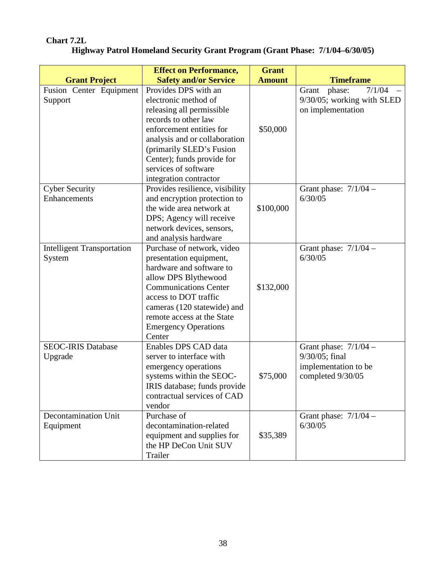## **Chart 7.2L**

| Highway Patrol Homeland Security Grant Program (Grant Phase: 7/1/04–6/30/05) |  |  |
|------------------------------------------------------------------------------|--|--|

|                                             | <b>Effect on Performance,</b>                                                                                                                                                                                                                                            | <b>Grant</b>  |                                                                                        |
|---------------------------------------------|--------------------------------------------------------------------------------------------------------------------------------------------------------------------------------------------------------------------------------------------------------------------------|---------------|----------------------------------------------------------------------------------------|
| <b>Grant Project</b>                        | <b>Safety and/or Service</b>                                                                                                                                                                                                                                             | <b>Amount</b> | <b>Timeframe</b>                                                                       |
| Fusion Center Equipment<br>Support          | Provides DPS with an<br>electronic method of<br>releasing all permissible<br>records to other law<br>enforcement entities for<br>analysis and or collaboration<br>(primarily SLED's Fusion<br>Center); funds provide for<br>services of software                         | \$50,000      | 7/1/04<br>phase:<br>Grant<br>9/30/05; working with SLED<br>on implementation           |
| <b>Cyber Security</b><br>Enhancements       | integration contractor<br>Provides resilience, visibility<br>and encryption protection to<br>the wide area network at<br>DPS; Agency will receive<br>network devices, sensors,<br>and analysis hardware                                                                  | \$100,000     | Grant phase: $7/1/04$ –<br>6/30/05                                                     |
| <b>Intelligent Transportation</b><br>System | Purchase of network, video<br>presentation equipment,<br>hardware and software to<br>allow DPS Blythewood<br><b>Communications Center</b><br>access to DOT traffic<br>cameras (120 statewide) and<br>remote access at the State<br><b>Emergency Operations</b><br>Center | \$132,000     | Grant phase: $7/1/04$ -<br>6/30/05                                                     |
| <b>SEOC-IRIS Database</b><br>Upgrade        | Enables DPS CAD data<br>server to interface with<br>emergency operations<br>systems within the SEOC-<br>IRIS database; funds provide<br>contractual services of CAD<br>vendor                                                                                            | \$75,000      | Grant phase: $7/1/04$ –<br>9/30/05; final<br>implementation to be<br>completed 9/30/05 |
| Decontamination Unit<br>Equipment           | Purchase of<br>decontamination-related<br>equipment and supplies for<br>the HP DeCon Unit SUV<br>Trailer                                                                                                                                                                 | \$35,389      | Grant phase: $7/1/04$ –<br>6/30/05                                                     |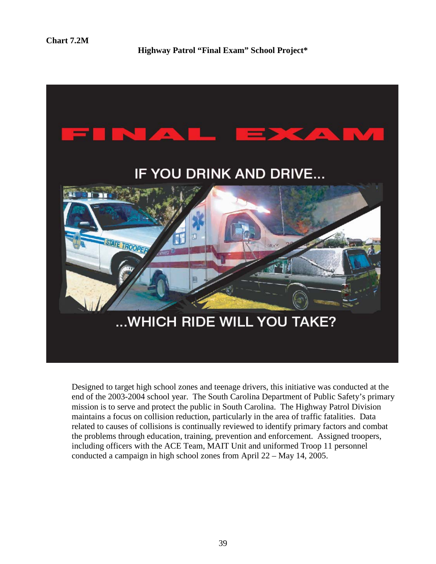**Highway Patrol "Final Exam" School Project\***



Designed to target high school zones and teenage drivers, this initiative was conducted at the end of the 2003-2004 school year. The South Carolina Department of Public Safety's primary mission is to serve and protect the public in South Carolina. The Highway Patrol Division maintains a focus on collision reduction, particularly in the area of traffic fatalities. Data related to causes of collisions is continually reviewed to identify primary factors and combat the problems through education, training, prevention and enforcement. Assigned troopers, including officers with the ACE Team, MAIT Unit and uniformed Troop 11 personnel conducted a campaign in high school zones from April 22 – May 14, 2005.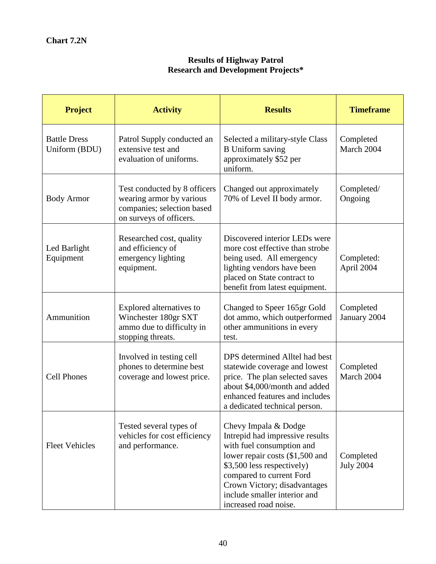#### **Results of Highway Patrol Research and Development Projects\***

| <b>Project</b>                       | <b>Activity</b>                                                                                                   | <b>Results</b>                                                                                                                                                                                                                                                             | <b>Timeframe</b>              |
|--------------------------------------|-------------------------------------------------------------------------------------------------------------------|----------------------------------------------------------------------------------------------------------------------------------------------------------------------------------------------------------------------------------------------------------------------------|-------------------------------|
| <b>Battle Dress</b><br>Uniform (BDU) | Patrol Supply conducted an<br>extensive test and<br>evaluation of uniforms.                                       | Selected a military-style Class<br><b>B</b> Uniform saving<br>approximately \$52 per<br>uniform.                                                                                                                                                                           | Completed<br>March 2004       |
| <b>Body Armor</b>                    | Test conducted by 8 officers<br>wearing armor by various<br>companies; selection based<br>on surveys of officers. | Changed out approximately<br>70% of Level II body armor.                                                                                                                                                                                                                   | Completed/<br>Ongoing         |
| Led Barlight<br>Equipment            | Researched cost, quality<br>and efficiency of<br>emergency lighting<br>equipment.                                 | Discovered interior LEDs were<br>more cost effective than strobe<br>being used. All emergency<br>lighting vendors have been<br>placed on State contract to<br>benefit from latest equipment.                                                                               | Completed:<br>April 2004      |
| Ammunition                           | Explored alternatives to<br>Winchester 180gr SXT<br>ammo due to difficulty in<br>stopping threats.                | Changed to Speer 165gr Gold<br>dot ammo, which outperformed<br>other ammunitions in every<br>test.                                                                                                                                                                         | Completed<br>January 2004     |
| <b>Cell Phones</b>                   | Involved in testing cell<br>phones to determine best<br>coverage and lowest price.                                | DPS determined Alltel had best<br>statewide coverage and lowest<br>price. The plan selected saves<br>about \$4,000/month and added<br>enhanced features and includes<br>a dedicated technical person.                                                                      | Completed<br>March 2004       |
| <b>Fleet Vehicles</b>                | Tested several types of<br>vehicles for cost efficiency<br>and performance.                                       | Chevy Impala & Dodge<br>Intrepid had impressive results<br>with fuel consumption and<br>lower repair costs (\$1,500 and<br>\$3,500 less respectively)<br>compared to current Ford<br>Crown Victory; disadvantages<br>include smaller interior and<br>increased road noise. | Completed<br><b>July 2004</b> |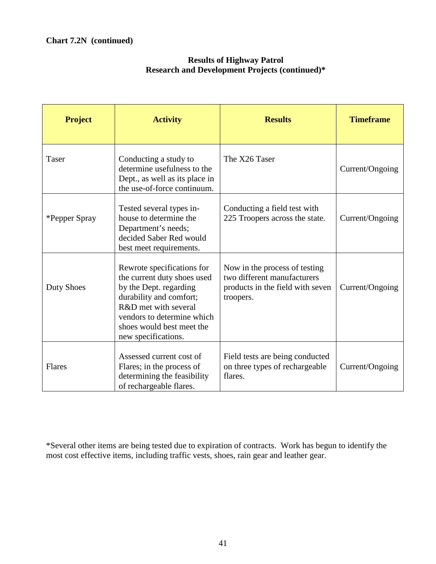| <b>Project</b>    | <b>Activity</b>                                                                                                                                                                                                          | <b>Results</b>                                                                                                | <b>Timeframe</b> |
|-------------------|--------------------------------------------------------------------------------------------------------------------------------------------------------------------------------------------------------------------------|---------------------------------------------------------------------------------------------------------------|------------------|
| <b>Taser</b>      | Conducting a study to<br>determine usefulness to the<br>Dept., as well as its place in<br>the use-of-force continuum.                                                                                                    | The X26 Taser                                                                                                 | Current/Ongoing  |
| *Pepper Spray     | Tested several types in-<br>house to determine the<br>Department's needs;<br>decided Saber Red would<br>best meet requirements.                                                                                          | Conducting a field test with<br>225 Troopers across the state.                                                | Current/Ongoing  |
| <b>Duty Shoes</b> | Rewrote specifications for<br>the current duty shoes used<br>by the Dept. regarding<br>durability and comfort;<br>R&D met with several<br>vendors to determine which<br>shoes would best meet the<br>new specifications. | Now in the process of testing<br>two different manufacturers<br>products in the field with seven<br>troopers. | Current/Ongoing  |
| Flares            | Assessed current cost of<br>Flares; in the process of<br>determining the feasibility<br>of rechargeable flares.                                                                                                          | Field tests are being conducted<br>on three types of rechargeable<br>flares.                                  | Current/Ongoing  |

#### **Results of Highway Patrol Research and Development Projects (continued)\***

\*Several other items are being tested due to expiration of contracts. Work has begun to identify the most cost effective items, including traffic vests, shoes, rain gear and leather gear.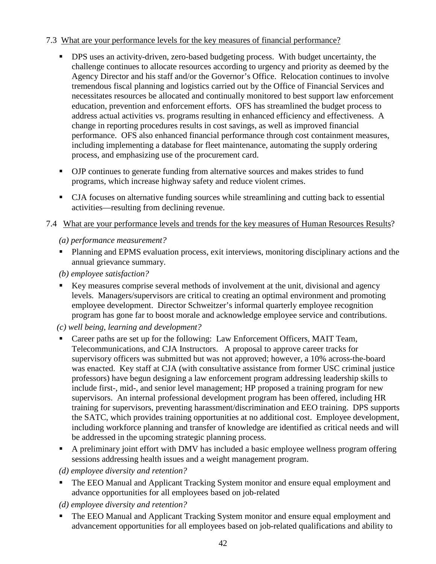#### 7.3 What are your performance levels for the key measures of financial performance?

- **•** DPS uses an activity-driven, zero-based budgeting process. With budget uncertainty, the challenge continues to allocate resources according to urgency and priority as deemed by the Agency Director and his staff and/or the Governor's Office. Relocation continues to involve tremendous fiscal planning and logistics carried out by the Office of Financial Services and necessitates resources be allocated and continually monitored to best support law enforcement education, prevention and enforcement efforts. OFS has streamlined the budget process to address actual activities vs. programs resulting in enhanced efficiency and effectiveness. A change in reporting procedures results in cost savings, as well as improved financial performance. OFS also enhanced financial performance through cost containment measures, including implementing a database for fleet maintenance, automating the supply ordering process, and emphasizing use of the procurement card.
- OJP continues to generate funding from alternative sources and makes strides to fund programs, which increase highway safety and reduce violent crimes.
- CJA focuses on alternative funding sources while streamlining and cutting back to essential activities—resulting from declining revenue.
- 7.4 What are your performance levels and trends for the key measures of Human Resources Results?

#### *(a) performance measurement?*

- **Planning and EPMS evaluation process, exit interviews, monitoring disciplinary actions and the** annual grievance summary.
- *(b) employee satisfaction?*
- Key measures comprise several methods of involvement at the unit, divisional and agency levels. Managers/supervisors are critical to creating an optimal environment and promoting employee development. Director Schweitzer's informal quarterly employee recognition program has gone far to boost morale and acknowledge employee service and contributions.
- *(c) well being, learning and development?*
- Career paths are set up for the following: Law Enforcement Officers, MAIT Team, Telecommunications, and CJA Instructors. A proposal to approve career tracks for supervisory officers was submitted but was not approved; however, a 10% across-the-board was enacted. Key staff at CJA (with consultative assistance from former USC criminal justice professors) have begun designing a law enforcement program addressing leadership skills to include first-, mid-, and senior level management; HP proposed a training program for new supervisors. An internal professional development program has been offered, including HR training for supervisors, preventing harassment/discrimination and EEO training. DPS supports the SATC, which provides training opportunities at no additional cost. Employee development, including workforce planning and transfer of knowledge are identified as critical needs and will be addressed in the upcoming strategic planning process.
- A preliminary joint effort with DMV has included a basic employee wellness program offering sessions addressing health issues and a weight management program.

#### *(d) employee diversity and retention?*

- **The EEO Manual and Applicant Tracking System monitor and ensure equal employment and** advance opportunities for all employees based on job-related
- *(d) employee diversity and retention?*
- The EEO Manual and Applicant Tracking System monitor and ensure equal employment and advancement opportunities for all employees based on job-related qualifications and ability to